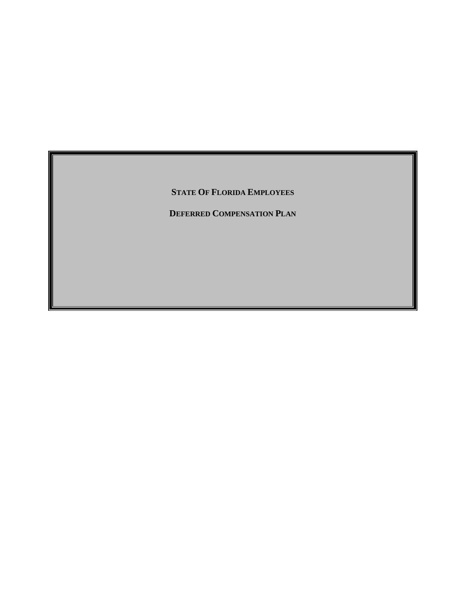**STATE OF FLORIDA EMPLOYEES**

**DEFERRED COMPENSATION PLAN**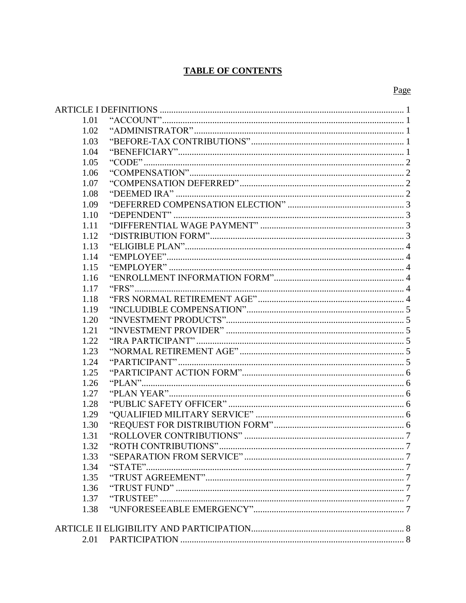# **TABLE OF CONTENTS**

# Page

| 1.01 |  |  |  |  |  |
|------|--|--|--|--|--|
| 1.02 |  |  |  |  |  |
| 1.03 |  |  |  |  |  |
| 1.04 |  |  |  |  |  |
| 1.05 |  |  |  |  |  |
| 1.06 |  |  |  |  |  |
| 1.07 |  |  |  |  |  |
| 1.08 |  |  |  |  |  |
| 1.09 |  |  |  |  |  |
| 1.10 |  |  |  |  |  |
| 1.11 |  |  |  |  |  |
| 1.12 |  |  |  |  |  |
| 1.13 |  |  |  |  |  |
| 1.14 |  |  |  |  |  |
| 1.15 |  |  |  |  |  |
| 1.16 |  |  |  |  |  |
| 1.17 |  |  |  |  |  |
| 1.18 |  |  |  |  |  |
| 1.19 |  |  |  |  |  |
| 1.20 |  |  |  |  |  |
| 1.21 |  |  |  |  |  |
| 1.22 |  |  |  |  |  |
| 1.23 |  |  |  |  |  |
| 1.24 |  |  |  |  |  |
| 1.25 |  |  |  |  |  |
| 1.26 |  |  |  |  |  |
| 1.27 |  |  |  |  |  |
| 1.28 |  |  |  |  |  |
| 1.29 |  |  |  |  |  |
| 1.30 |  |  |  |  |  |
| 1.31 |  |  |  |  |  |
| 1.32 |  |  |  |  |  |
| 1.33 |  |  |  |  |  |
| 1.34 |  |  |  |  |  |
| 1.35 |  |  |  |  |  |
| 1.36 |  |  |  |  |  |
| 1.37 |  |  |  |  |  |
| 1.38 |  |  |  |  |  |
|      |  |  |  |  |  |
|      |  |  |  |  |  |
| 2.01 |  |  |  |  |  |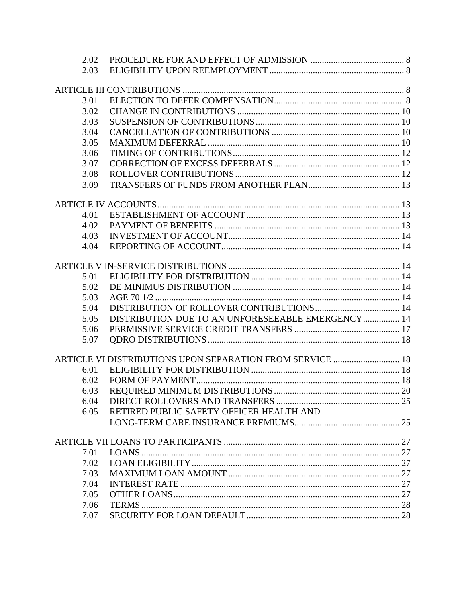| 2.02 |                                                           |  |
|------|-----------------------------------------------------------|--|
| 2.03 |                                                           |  |
|      |                                                           |  |
| 3.01 |                                                           |  |
| 3.02 |                                                           |  |
| 3.03 |                                                           |  |
| 3.04 |                                                           |  |
| 3.05 |                                                           |  |
| 3.06 |                                                           |  |
| 3.07 |                                                           |  |
| 3.08 |                                                           |  |
| 3.09 |                                                           |  |
|      |                                                           |  |
| 4.01 |                                                           |  |
| 4.02 |                                                           |  |
| 4.03 |                                                           |  |
| 4.04 |                                                           |  |
|      |                                                           |  |
|      |                                                           |  |
| 5.01 |                                                           |  |
| 5.02 |                                                           |  |
| 5.03 |                                                           |  |
| 5.04 |                                                           |  |
| 5.05 | DISTRIBUTION DUE TO AN UNFORESEEABLE EMERGENCY 14         |  |
| 5.06 |                                                           |  |
| 5.07 |                                                           |  |
|      | ARTICLE VI DISTRIBUTIONS UPON SEPARATION FROM SERVICE  18 |  |
| 6.01 |                                                           |  |
| 6.02 |                                                           |  |
| 6.03 |                                                           |  |
| 6.04 |                                                           |  |
| 6.05 | RETIRED PUBLIC SAFETY OFFICER HEALTH AND                  |  |
|      |                                                           |  |
|      |                                                           |  |
| 7.01 |                                                           |  |
| 7.02 |                                                           |  |
| 7.03 |                                                           |  |
| 7.04 |                                                           |  |
| 7.05 |                                                           |  |
| 7.06 |                                                           |  |
| 7.07 |                                                           |  |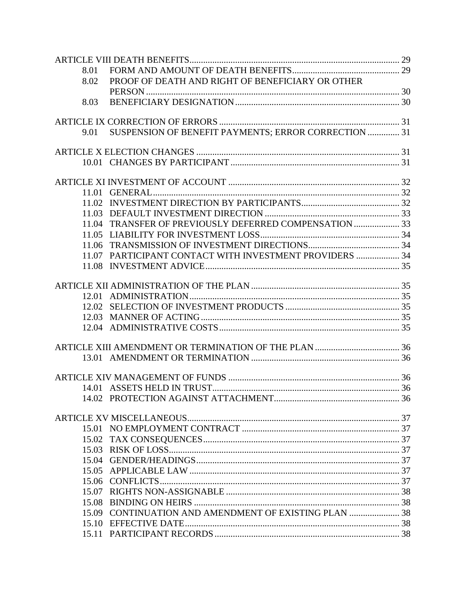| 8.01  |                                                         |  |
|-------|---------------------------------------------------------|--|
| 8.02  | PROOF OF DEATH AND RIGHT OF BENEFICIARY OR OTHER        |  |
|       |                                                         |  |
| 8.03  |                                                         |  |
|       |                                                         |  |
| 9.01  | SUSPENSION OF BENEFIT PAYMENTS; ERROR CORRECTION  31    |  |
|       |                                                         |  |
|       |                                                         |  |
|       |                                                         |  |
|       |                                                         |  |
| 11.01 |                                                         |  |
| 11.02 |                                                         |  |
|       |                                                         |  |
| 11.04 | TRANSFER OF PREVIOUSLY DEFERRED COMPENSATION  33        |  |
| 11.05 |                                                         |  |
|       |                                                         |  |
|       | 11.07 PARTICIPANT CONTACT WITH INVESTMENT PROVIDERS  34 |  |
|       |                                                         |  |
|       |                                                         |  |
|       |                                                         |  |
|       |                                                         |  |
|       |                                                         |  |
|       |                                                         |  |
|       |                                                         |  |
|       |                                                         |  |
|       |                                                         |  |
|       |                                                         |  |
|       |                                                         |  |
|       |                                                         |  |
|       |                                                         |  |
|       |                                                         |  |
|       |                                                         |  |
|       |                                                         |  |
|       |                                                         |  |
|       |                                                         |  |
|       |                                                         |  |
| 15.06 |                                                         |  |
| 15.07 |                                                         |  |
|       |                                                         |  |
| 15.09 |                                                         |  |
|       |                                                         |  |
|       |                                                         |  |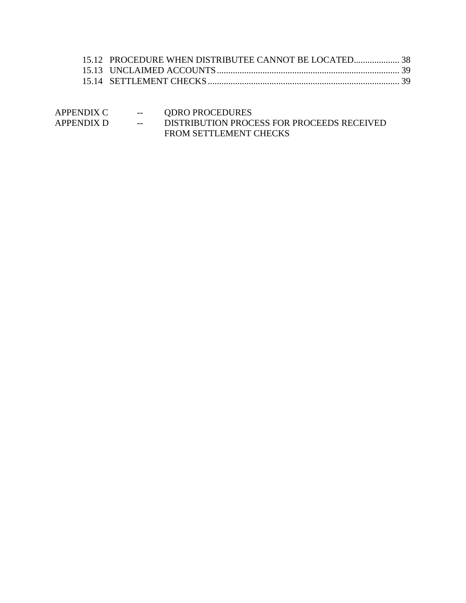| 15.12 PROCEDURE WHEN DISTRIBUTEE CANNOT BE LOCATED38 |  |
|------------------------------------------------------|--|
|                                                      |  |
|                                                      |  |
|                                                      |  |

| APPENDIX C | $--$ | <b>QDRO PROCEDURES</b>                     |
|------------|------|--------------------------------------------|
| APPENDIX D | $--$ | DISTRIBUTION PROCESS FOR PROCEEDS RECEIVED |
|            |      | <b>FROM SETTLEMENT CHECKS</b>              |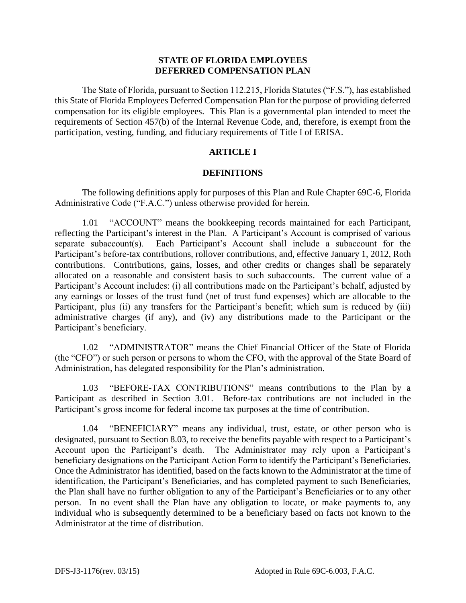## **STATE OF FLORIDA EMPLOYEES DEFERRED COMPENSATION PLAN**

The State of Florida, pursuant to Section 112.215, Florida Statutes ("F.S."), has established this State of Florida Employees Deferred Compensation Plan for the purpose of providing deferred compensation for its eligible employees. This Plan is a governmental plan intended to meet the requirements of Section 457(b) of the Internal Revenue Code, and, therefore, is exempt from the participation, vesting, funding, and fiduciary requirements of Title I of ERISA.

## **ARTICLE I**

## **DEFINITIONS**

<span id="page-5-0"></span>The following definitions apply for purposes of this Plan and Rule Chapter 69C-6, Florida Administrative Code ("F.A.C.") unless otherwise provided for herein.

<span id="page-5-1"></span>1.01 "ACCOUNT" means the bookkeeping records maintained for each Participant, reflecting the Participant's interest in the Plan. A Participant's Account is comprised of various separate subaccount(s). Each Participant's Account shall include a subaccount for the Participant's before-tax contributions, rollover contributions, and, effective January 1, 2012, Roth contributions. Contributions, gains, losses, and other credits or changes shall be separately allocated on a reasonable and consistent basis to such subaccounts. The current value of a Participant's Account includes: (i) all contributions made on the Participant's behalf, adjusted by any earnings or losses of the trust fund (net of trust fund expenses) which are allocable to the Participant, plus (ii) any transfers for the Participant's benefit; which sum is reduced by (iii) administrative charges (if any), and (iv) any distributions made to the Participant or the Participant's beneficiary.

<span id="page-5-2"></span>1.02 "ADMINISTRATOR" means the Chief Financial Officer of the State of Florida (the "CFO") or such person or persons to whom the CFO, with the approval of the State Board of Administration, has delegated responsibility for the Plan's administration.

<span id="page-5-3"></span>1.03 "BEFORE-TAX CONTRIBUTIONS" means contributions to the Plan by a Participant as described in Section 3.01. Before-tax contributions are not included in the Participant's gross income for federal income tax purposes at the time of contribution.

<span id="page-5-4"></span>"BENEFICIARY" means any individual, trust, estate, or other person who is designated, pursuant to Section 8.03, to receive the benefits payable with respect to a Participant's Account upon the Participant's death. The Administrator may rely upon a Participant's beneficiary designations on the Participant Action Form to identify the Participant's Beneficiaries. Once the Administrator has identified, based on the facts known to the Administrator at the time of identification, the Participant's Beneficiaries, and has completed payment to such Beneficiaries, the Plan shall have no further obligation to any of the Participant's Beneficiaries or to any other person. In no event shall the Plan have any obligation to locate, or make payments to, any individual who is subsequently determined to be a beneficiary based on facts not known to the Administrator at the time of distribution.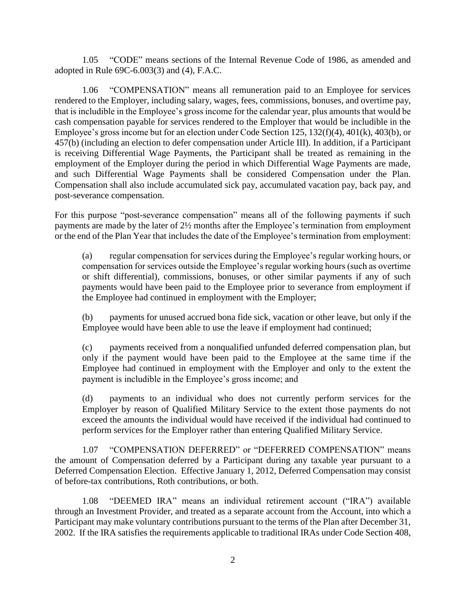<span id="page-6-0"></span>1.05 "CODE" means sections of the Internal Revenue Code of 1986, as amended and adopted in Rule 69C-6.003(3) and (4), F.A.C.

<span id="page-6-1"></span>1.06 "COMPENSATION" means all remuneration paid to an Employee for services rendered to the Employer, including salary, wages, fees, commissions, bonuses, and overtime pay, that is includible in the Employee's gross income for the calendar year, plus amounts that would be cash compensation payable for services rendered to the Employer that would be includible in the Employee's gross income but for an election under Code Section 125, 132(f)(4), 401(k), 403(b), or 457(b) (including an election to defer compensation under Article III). In addition, if a Participant is receiving Differential Wage Payments, the Participant shall be treated as remaining in the employment of the Employer during the period in which Differential Wage Payments are made, and such Differential Wage Payments shall be considered Compensation under the Plan. Compensation shall also include accumulated sick pay, accumulated vacation pay, back pay, and post-severance compensation.

For this purpose "post-severance compensation" means all of the following payments if such payments are made by the later of 2½ months after the Employee's termination from employment or the end of the Plan Year that includes the date of the Employee's termination from employment:

(a) regular compensation for services during the Employee's regular working hours, or compensation for services outside the Employee's regular working hours (such as overtime or shift differential), commissions, bonuses, or other similar payments if any of such payments would have been paid to the Employee prior to severance from employment if the Employee had continued in employment with the Employer;

(b) payments for unused accrued bona fide sick, vacation or other leave, but only if the Employee would have been able to use the leave if employment had continued;

(c) payments received from a nonqualified unfunded deferred compensation plan, but only if the payment would have been paid to the Employee at the same time if the Employee had continued in employment with the Employer and only to the extent the payment is includible in the Employee's gross income; and

(d) payments to an individual who does not currently perform services for the Employer by reason of Qualified Military Service to the extent those payments do not exceed the amounts the individual would have received if the individual had continued to perform services for the Employer rather than entering Qualified Military Service.

<span id="page-6-2"></span>1.07 "COMPENSATION DEFERRED" or "DEFERRED COMPENSATION" means the amount of Compensation deferred by a Participant during any taxable year pursuant to a Deferred Compensation Election. Effective January 1, 2012, Deferred Compensation may consist of before-tax contributions, Roth contributions, or both.

<span id="page-6-3"></span>1.08 "DEEMED IRA" means an individual retirement account ("IRA") available through an Investment Provider, and treated as a separate account from the Account, into which a Participant may make voluntary contributions pursuant to the terms of the Plan after December 31, 2002. If the IRA satisfies the requirements applicable to traditional IRAs under Code Section 408,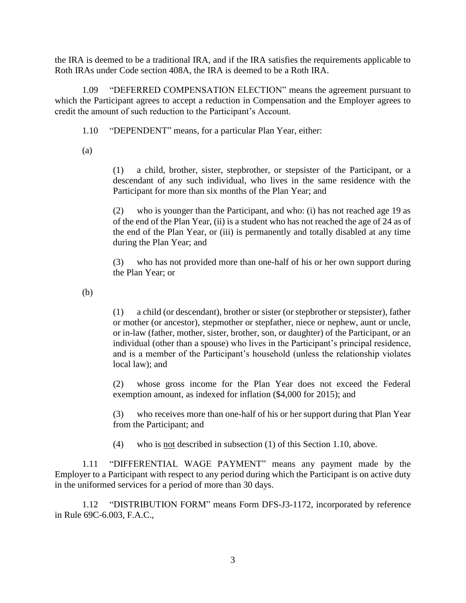the IRA is deemed to be a traditional IRA, and if the IRA satisfies the requirements applicable to Roth IRAs under Code section 408A, the IRA is deemed to be a Roth IRA.

<span id="page-7-0"></span>1.09 "DEFERRED COMPENSATION ELECTION" means the agreement pursuant to which the Participant agrees to accept a reduction in Compensation and the Employer agrees to credit the amount of such reduction to the Participant's Account.

<span id="page-7-1"></span>1.10 "DEPENDENT" means, for a particular Plan Year, either:

(a)

(1) a child, brother, sister, stepbrother, or stepsister of the Participant, or a descendant of any such individual, who lives in the same residence with the Participant for more than six months of the Plan Year; and

(2) who is younger than the Participant, and who: (i) has not reached age 19 as of the end of the Plan Year, (ii) is a student who has not reached the age of 24 as of the end of the Plan Year, or (iii) is permanently and totally disabled at any time during the Plan Year; and

(3) who has not provided more than one-half of his or her own support during the Plan Year; or

(b)

(1) a child (or descendant), brother or sister (or stepbrother or stepsister), father or mother (or ancestor), stepmother or stepfather, niece or nephew, aunt or uncle, or in-law (father, mother, sister, brother, son, or daughter) of the Participant, or an individual (other than a spouse) who lives in the Participant's principal residence, and is a member of the Participant's household (unless the relationship violates local law); and

(2) whose gross income for the Plan Year does not exceed the Federal exemption amount, as indexed for inflation (\$4,000 for 2015); and

(3) who receives more than one-half of his or her support during that Plan Year from the Participant; and

(4) who is not described in subsection (1) of this Section 1.10, above.

<span id="page-7-2"></span>1.11 "DIFFERENTIAL WAGE PAYMENT" means any payment made by the Employer to a Participant with respect to any period during which the Participant is on active duty in the uniformed services for a period of more than 30 days.

<span id="page-7-3"></span>1.12 "DISTRIBUTION FORM" means Form DFS-J3-1172, incorporated by reference in Rule 69C-6.003, F.A.C.,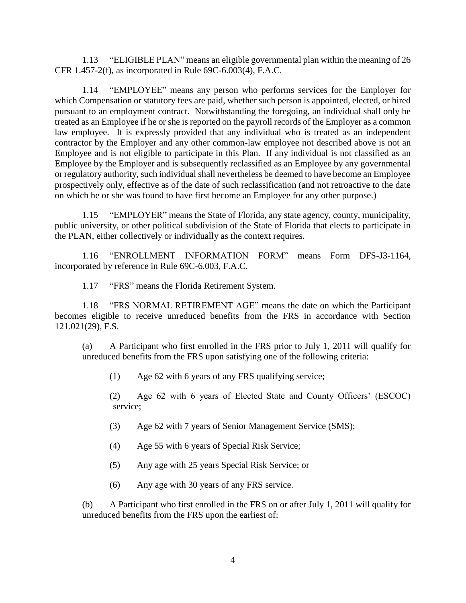<span id="page-8-0"></span>1.13 "ELIGIBLE PLAN" means an eligible governmental plan within the meaning of 26 CFR 1.457-2(f), as incorporated in Rule 69C-6.003(4), F.A.C.

<span id="page-8-1"></span>1.14 "EMPLOYEE" means any person who performs services for the Employer for which Compensation or statutory fees are paid, whether such person is appointed, elected, or hired pursuant to an employment contract. Notwithstanding the foregoing, an individual shall only be treated as an Employee if he or she is reported on the payroll records of the Employer as a common law employee. It is expressly provided that any individual who is treated as an independent contractor by the Employer and any other common-law employee not described above is not an Employee and is not eligible to participate in this Plan. If any individual is not classified as an Employee by the Employer and is subsequently reclassified as an Employee by any governmental or regulatory authority, such individual shall nevertheless be deemed to have become an Employee prospectively only, effective as of the date of such reclassification (and not retroactive to the date on which he or she was found to have first become an Employee for any other purpose.)

<span id="page-8-2"></span>1.15 "EMPLOYER" means the State of Florida, any state agency, county, municipality, public university, or other political subdivision of the State of Florida that elects to participate in the PLAN, either collectively or individually as the context requires.

<span id="page-8-3"></span>1.16 "ENROLLMENT INFORMATION FORM" means Form DFS-J3-1164, incorporated by reference in Rule 69C-6.003, F.A.C.

1.17 "FRS" means the Florida Retirement System.

<span id="page-8-5"></span><span id="page-8-4"></span>1.18 "FRS NORMAL RETIREMENT AGE" means the date on which the Participant becomes eligible to receive unreduced benefits from the FRS in accordance with Section 121.021(29), F.S.

(a) A Participant who first enrolled in the FRS prior to July 1, 2011 will qualify for unreduced benefits from the FRS upon satisfying one of the following criteria:

(1) Age 62 with 6 years of any FRS qualifying service;

(2) Age 62 with 6 years of Elected State and County Officers' (ESCOC) service;

(3) Age 62 with 7 years of Senior Management Service (SMS);

- (4) Age 55 with 6 years of Special Risk Service;
- (5) Any age with 25 years Special Risk Service; or
- (6) Any age with 30 years of any FRS service.

(b) A Participant who first enrolled in the FRS on or after July 1, 2011 will qualify for unreduced benefits from the FRS upon the earliest of: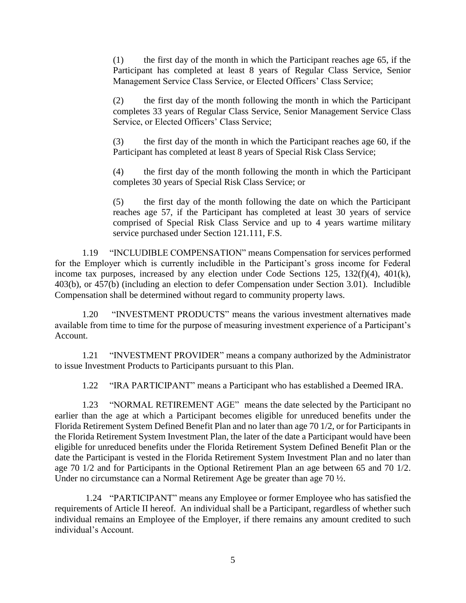(1) the first day of the month in which the Participant reaches age 65, if the Participant has completed at least 8 years of Regular Class Service, Senior Management Service Class Service, or Elected Officers' Class Service;

(2) the first day of the month following the month in which the Participant completes 33 years of Regular Class Service, Senior Management Service Class Service, or Elected Officers' Class Service;

(3) the first day of the month in which the Participant reaches age 60, if the Participant has completed at least 8 years of Special Risk Class Service;

(4) the first day of the month following the month in which the Participant completes 30 years of Special Risk Class Service; or

(5) the first day of the month following the date on which the Participant reaches age 57, if the Participant has completed at least 30 years of service comprised of Special Risk Class Service and up to 4 years wartime military service purchased under Section 121.111, F.S.

<span id="page-9-0"></span>1.19 "INCLUDIBLE COMPENSATION" means Compensation for services performed for the Employer which is currently includible in the Participant's gross income for Federal income tax purposes, increased by any election under Code Sections 125, 132(f)(4), 401(k), 403(b), or 457(b) (including an election to defer Compensation under Section 3.01). Includible Compensation shall be determined without regard to community property laws.

<span id="page-9-1"></span>1.20 "INVESTMENT PRODUCTS" means the various investment alternatives made available from time to time for the purpose of measuring investment experience of a Participant's Account.

<span id="page-9-2"></span>1.21 "INVESTMENT PROVIDER" means a company authorized by the Administrator to issue Investment Products to Participants pursuant to this Plan.

1.22 "IRA PARTICIPANT" means a Participant who has established a Deemed IRA.

<span id="page-9-4"></span><span id="page-9-3"></span>1.23 "NORMAL RETIREMENT AGE" means the date selected by the Participant no earlier than the age at which a Participant becomes eligible for unreduced benefits under the Florida Retirement System Defined Benefit Plan and no later than age 70 1/2, or for Participants in the Florida Retirement System Investment Plan, the later of the date a Participant would have been eligible for unreduced benefits under the Florida Retirement System Defined Benefit Plan or the date the Participant is vested in the Florida Retirement System Investment Plan and no later than age 70 1/2 and for Participants in the Optional Retirement Plan an age between 65 and 70 1/2. Under no circumstance can a Normal Retirement Age be greater than age 70 ½.

<span id="page-9-5"></span>1.24 "PARTICIPANT" means any Employee or former Employee who has satisfied the requirements of Article II hereof. An individual shall be a Participant, regardless of whether such individual remains an Employee of the Employer, if there remains any amount credited to such individual's Account.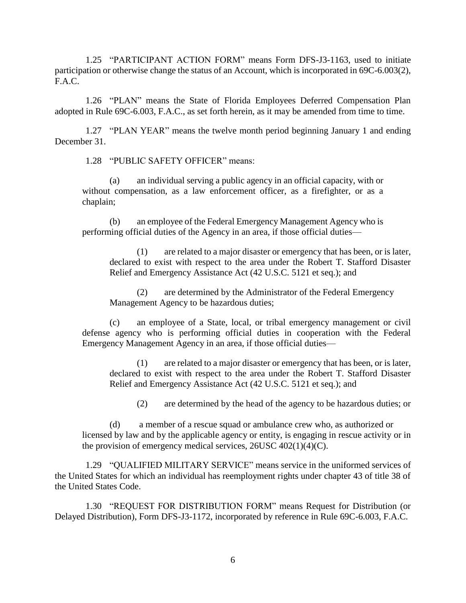<span id="page-10-0"></span>1.25 "PARTICIPANT ACTION FORM" means Form DFS-J3-1163, used to initiate participation or otherwise change the status of an Account, which is incorporated in 69C-6.003(2), F.A.C.

<span id="page-10-1"></span>1.26 "PLAN" means the State of Florida Employees Deferred Compensation Plan adopted in Rule 69C-6.003, F.A.C., as set forth herein, as it may be amended from time to time.

<span id="page-10-2"></span>1.27 "PLAN YEAR" means the twelve month period beginning January 1 and ending December 31.

1.28 "PUBLIC SAFETY OFFICER" means:

(a) an individual serving a public agency in an official capacity, with or without compensation, as a law enforcement officer, as a firefighter, or as a chaplain;

(b) an employee of the Federal Emergency Management Agency who is performing official duties of the Agency in an area, if those official duties—

(1) are related to a major disaster or emergency that has been, or is later, declared to exist with respect to the area under the Robert T. Stafford Disaster Relief and Emergency Assistance Act [\(42](http://www.law.cornell.edu/uscode/text/42) U.S.C. [5121](http://www.law.cornell.edu/uscode/text/42/5121) et seq.); and

(2) are determined by the Administrator of the Federal Emergency Management Agency to be hazardous duties;

(c) an employee of a State, local, or tribal emergency management or civil defense agency who is performing official duties in cooperation with the Federal Emergency Management Agency in an area, if those official duties—

(1) are related to a major disaster or emergency that has been, or is later, declared to exist with respect to the area under the Robert T. Stafford Disaster Relief and Emergency Assistance Act [\(42](http://www.law.cornell.edu/uscode/text/42) U.S.C. [5121](http://www.law.cornell.edu/uscode/text/42/5121) et seq.); and

(2) are determined by the head of the agency to be hazardous duties; or

(d) a member of a rescue squad or ambulance crew who, as authorized or licensed by law and by the applicable agency or entity, is engaging in rescue activity or in the provision of emergency medical services,  $26USC 402(1)(4)(C)$ .

<span id="page-10-3"></span>1.29 "QUALIFIED MILITARY SERVICE" means service in the uniformed services of the United States for which an individual has reemployment rights under chapter 43 of title 38 of the United States Code.

<span id="page-10-4"></span>1.30 "REQUEST FOR DISTRIBUTION FORM" means Request for Distribution (or Delayed Distribution), Form DFS-J3-1172, incorporated by reference in Rule 69C-6.003, F.A.C.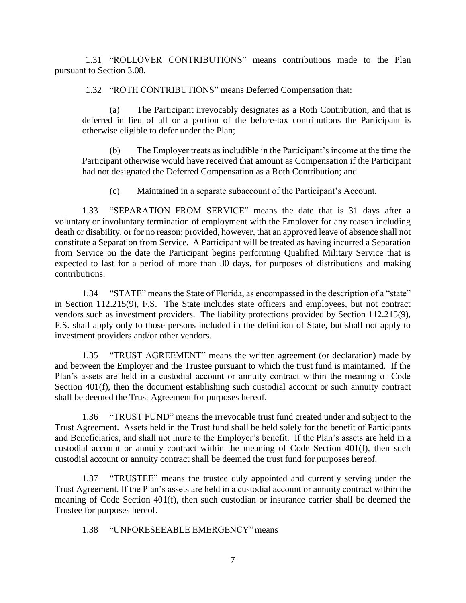<span id="page-11-1"></span><span id="page-11-0"></span>1.31 "ROLLOVER CONTRIBUTIONS" means contributions made to the Plan pursuant to Section 3.08.

1.32 "ROTH CONTRIBUTIONS" means Deferred Compensation that:

(a) The Participant irrevocably designates as a Roth Contribution, and that is deferred in lieu of all or a portion of the before-tax contributions the Participant is otherwise eligible to defer under the Plan;

(b) The Employer treats as includible in the Participant's income at the time the Participant otherwise would have received that amount as Compensation if the Participant had not designated the Deferred Compensation as a Roth Contribution; and

(c) Maintained in a separate subaccount of the Participant's Account.

<span id="page-11-2"></span>1.33 "SEPARATION FROM SERVICE" means the date that is 31 days after a voluntary or involuntary termination of employment with the Employer for any reason including death or disability, or for no reason; provided, however, that an approved leave of absence shall not constitute a Separation from Service. A Participant will be treated as having incurred a Separation from Service on the date the Participant begins performing Qualified Military Service that is expected to last for a period of more than 30 days, for purposes of distributions and making contributions.

<span id="page-11-3"></span>1.34 "STATE" means the State of Florida, as encompassed in the description of a "state" in Section 112.215(9), F.S. The State includes state officers and employees, but not contract vendors such as investment providers. The liability protections provided by Section 112.215(9), F.S. shall apply only to those persons included in the definition of State, but shall not apply to investment providers and/or other vendors.

<span id="page-11-4"></span>1.35 "TRUST AGREEMENT" means the written agreement (or declaration) made by and between the Employer and the Trustee pursuant to which the trust fund is maintained. If the Plan's assets are held in a custodial account or annuity contract within the meaning of Code Section 401(f), then the document establishing such custodial account or such annuity contract shall be deemed the Trust Agreement for purposes hereof.

<span id="page-11-5"></span>1.36 "TRUST FUND" means the irrevocable trust fund created under and subject to the Trust Agreement. Assets held in the Trust fund shall be held solely for the benefit of Participants and Beneficiaries, and shall not inure to the Employer's benefit. If the Plan's assets are held in a custodial account or annuity contract within the meaning of Code Section 401(f), then such custodial account or annuity contract shall be deemed the trust fund for purposes hereof.

<span id="page-11-6"></span>1.37 "TRUSTEE" means the trustee duly appointed and currently serving under the Trust Agreement. If the Plan's assets are held in a custodial account or annuity contract within the meaning of Code Section 401(f), then such custodian or insurance carrier shall be deemed the Trustee for purposes hereof.

<span id="page-11-7"></span>1.38 "UNFORESEEABLE EMERGENCY" means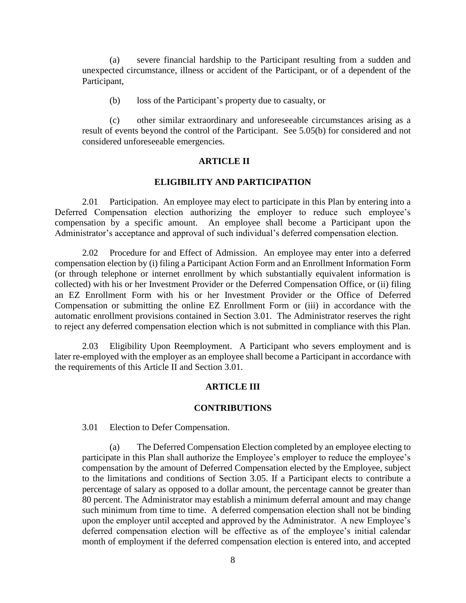(a) severe financial hardship to the Participant resulting from a sudden and unexpected circumstance, illness or accident of the Participant, or of a dependent of the Participant,

(b) loss of the Participant's property due to casualty, or

(c) other similar extraordinary and unforeseeable circumstances arising as a result of events beyond the control of the Participant. See 5.05(b) for considered and not considered unforeseeable emergencies.

#### **ARTICLE II**

### **ELIGIBILITY AND PARTICIPATION**

<span id="page-12-1"></span><span id="page-12-0"></span>2.01 Participation. An employee may elect to participate in this Plan by entering into a Deferred Compensation election authorizing the employer to reduce such employee's compensation by a specific amount. An employee shall become a Participant upon the Administrator's acceptance and approval of such individual's deferred compensation election.

<span id="page-12-2"></span>2.02 Procedure for and Effect of Admission. An employee may enter into a deferred compensation election by (i) filing a Participant Action Form and an Enrollment Information Form (or through telephone or internet enrollment by which substantially equivalent information is collected) with his or her Investment Provider or the Deferred Compensation Office, or (ii) filing an EZ Enrollment Form with his or her Investment Provider or the Office of Deferred Compensation or submitting the online EZ Enrollment Form or (iii) in accordance with the automatic enrollment provisions contained in Section 3.01. The Administrator reserves the right to reject any deferred compensation election which is not submitted in compliance with this Plan.

<span id="page-12-3"></span>2.03 Eligibility Upon Reemployment. A Participant who severs employment and is later re-employed with the employer as an employee shall become a Participant in accordance with the requirements of this Article II and Section 3.01.

## **ARTICLE III**

#### **CONTRIBUTIONS**

<span id="page-12-5"></span><span id="page-12-4"></span>3.01 Election to Defer Compensation.

(a) The Deferred Compensation Election completed by an employee electing to participate in this Plan shall authorize the Employee's employer to reduce the employee's compensation by the amount of Deferred Compensation elected by the Employee, subject to the limitations and conditions of Section 3.05. If a Participant elects to contribute a percentage of salary as opposed to a dollar amount, the percentage cannot be greater than 80 percent. The Administrator may establish a minimum deferral amount and may change such minimum from time to time. A deferred compensation election shall not be binding upon the employer until accepted and approved by the Administrator. A new Employee's deferred compensation election will be effective as of the employee's initial calendar month of employment if the deferred compensation election is entered into, and accepted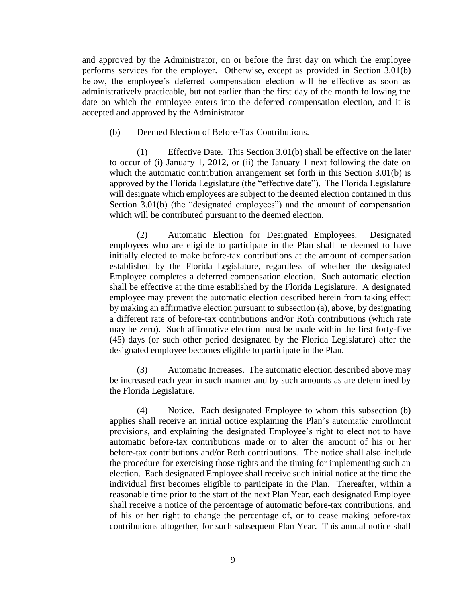and approved by the Administrator, on or before the first day on which the employee performs services for the employer. Otherwise, except as provided in Section 3.01(b) below, the employee's deferred compensation election will be effective as soon as administratively practicable, but not earlier than the first day of the month following the date on which the employee enters into the deferred compensation election, and it is accepted and approved by the Administrator.

(b) Deemed Election of Before-Tax Contributions.

(1) Effective Date. This Section 3.01(b) shall be effective on the later to occur of (i) January 1, 2012, or (ii) the January 1 next following the date on which the automatic contribution arrangement set forth in this Section 3.01(b) is approved by the Florida Legislature (the "effective date"). The Florida Legislature will designate which employees are subject to the deemed election contained in this Section 3.01(b) (the "designated employees") and the amount of compensation which will be contributed pursuant to the deemed election.

(2) Automatic Election for Designated Employees. Designated employees who are eligible to participate in the Plan shall be deemed to have initially elected to make before-tax contributions at the amount of compensation established by the Florida Legislature, regardless of whether the designated Employee completes a deferred compensation election. Such automatic election shall be effective at the time established by the Florida Legislature. A designated employee may prevent the automatic election described herein from taking effect by making an affirmative election pursuant to subsection (a), above, by designating a different rate of before-tax contributions and/or Roth contributions (which rate may be zero). Such affirmative election must be made within the first forty-five (45) days (or such other period designated by the Florida Legislature) after the designated employee becomes eligible to participate in the Plan.

(3) Automatic Increases. The automatic election described above may be increased each year in such manner and by such amounts as are determined by the Florida Legislature.

(4) Notice. Each designated Employee to whom this subsection (b) applies shall receive an initial notice explaining the Plan's automatic enrollment provisions, and explaining the designated Employee's right to elect not to have automatic before-tax contributions made or to alter the amount of his or her before-tax contributions and/or Roth contributions. The notice shall also include the procedure for exercising those rights and the timing for implementing such an election. Each designated Employee shall receive such initial notice at the time the individual first becomes eligible to participate in the Plan. Thereafter, within a reasonable time prior to the start of the next Plan Year, each designated Employee shall receive a notice of the percentage of automatic before-tax contributions, and of his or her right to change the percentage of, or to cease making before-tax contributions altogether, for such subsequent Plan Year. This annual notice shall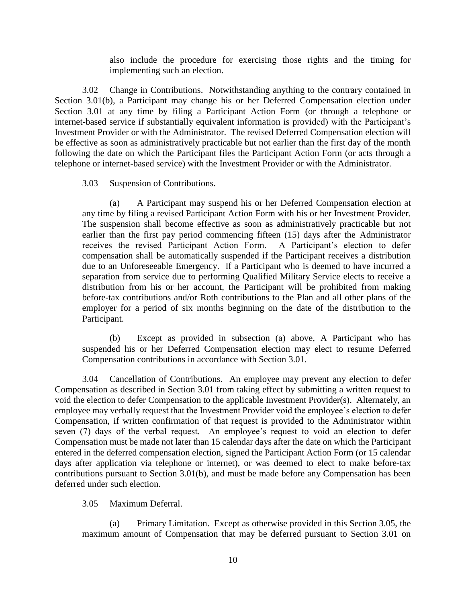also include the procedure for exercising those rights and the timing for implementing such an election.

<span id="page-14-0"></span>3.02 Change in Contributions. Notwithstanding anything to the contrary contained in Section 3.01(b), a Participant may change his or her Deferred Compensation election under Section 3.01 at any time by filing a Participant Action Form (or through a telephone or internet-based service if substantially equivalent information is provided) with the Participant's Investment Provider or with the Administrator. The revised Deferred Compensation election will be effective as soon as administratively practicable but not earlier than the first day of the month following the date on which the Participant files the Participant Action Form (or acts through a telephone or internet-based service) with the Investment Provider or with the Administrator.

<span id="page-14-1"></span>3.03 Suspension of Contributions.

(a) A Participant may suspend his or her Deferred Compensation election at any time by filing a revised Participant Action Form with his or her Investment Provider. The suspension shall become effective as soon as administratively practicable but not earlier than the first pay period commencing fifteen (15) days after the Administrator receives the revised Participant Action Form. A Participant's election to defer compensation shall be automatically suspended if the Participant receives a distribution due to an Unforeseeable Emergency. If a Participant who is deemed to have incurred a separation from service due to performing Qualified Military Service elects to receive a distribution from his or her account, the Participant will be prohibited from making before-tax contributions and/or Roth contributions to the Plan and all other plans of the employer for a period of six months beginning on the date of the distribution to the Participant.

(b) Except as provided in subsection (a) above, A Participant who has suspended his or her Deferred Compensation election may elect to resume Deferred Compensation contributions in accordance with Section 3.01.

<span id="page-14-2"></span>3.04 Cancellation of Contributions. An employee may prevent any election to defer Compensation as described in Section 3.01 from taking effect by submitting a written request to void the election to defer Compensation to the applicable Investment Provider(s). Alternately, an employee may verbally request that the Investment Provider void the employee's election to defer Compensation, if written confirmation of that request is provided to the Administrator within seven (7) days of the verbal request. An employee's request to void an election to defer Compensation must be made not later than 15 calendar days after the date on which the Participant entered in the deferred compensation election, signed the Participant Action Form (or 15 calendar days after application via telephone or internet), or was deemed to elect to make before-tax contributions pursuant to Section 3.01(b), and must be made before any Compensation has been deferred under such election.

<span id="page-14-3"></span>3.05 Maximum Deferral.

(a) Primary Limitation. Except as otherwise provided in this Section 3.05, the maximum amount of Compensation that may be deferred pursuant to Section 3.01 on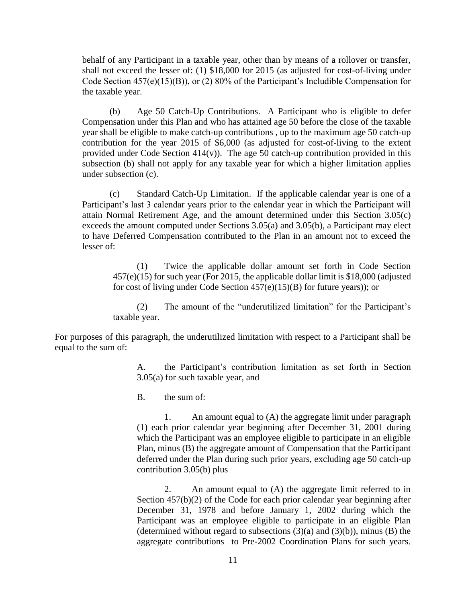behalf of any Participant in a taxable year, other than by means of a rollover or transfer, shall not exceed the lesser of: (1) \$18,000 for 2015 (as adjusted for cost-of-living under Code Section 457(e)(15)(B)), or (2) 80% of the Participant's Includible Compensation for the taxable year.

(b) Age 50 Catch-Up Contributions. A Participant who is eligible to defer Compensation under this Plan and who has attained age 50 before the close of the taxable year shall be eligible to make catch-up contributions , up to the maximum age 50 catch-up contribution for the year 2015 of \$6,000 (as adjusted for cost-of-living to the extent provided under Code Section  $414(v)$ ). The age 50 catch-up contribution provided in this subsection (b) shall not apply for any taxable year for which a higher limitation applies under subsection (c).

(c) Standard Catch-Up Limitation. If the applicable calendar year is one of a Participant's last 3 calendar years prior to the calendar year in which the Participant will attain Normal Retirement Age, and the amount determined under this Section 3.05(c) exceeds the amount computed under Sections 3.05(a) and 3.05(b), a Participant may elect to have Deferred Compensation contributed to the Plan in an amount not to exceed the lesser of:

(1) Twice the applicable dollar amount set forth in Code Section 457(e)(15) for such year (For 2015, the applicable dollar limit is \$18,000 (adjusted for cost of living under Code Section  $457(e)(15)(B)$  for future years)); or

(2) The amount of the "underutilized limitation" for the Participant's taxable year.

For purposes of this paragraph, the underutilized limitation with respect to a Participant shall be equal to the sum of:

> A. the Participant's contribution limitation as set forth in Section 3.05(a) for such taxable year, and

B. the sum of:

1. An amount equal to (A) the aggregate limit under paragraph (1) each prior calendar year beginning after December 31, 2001 during which the Participant was an employee eligible to participate in an eligible Plan, minus (B) the aggregate amount of Compensation that the Participant deferred under the Plan during such prior years, excluding age 50 catch-up contribution 3.05(b) plus

2. An amount equal to (A) the aggregate limit referred to in Section 457(b)(2) of the Code for each prior calendar year beginning after December 31, 1978 and before January 1, 2002 during which the Participant was an employee eligible to participate in an eligible Plan (determined without regard to subsections  $(3)(a)$  and  $(3)(b)$ ), minus  $(B)$  the aggregate contributions to Pre-2002 Coordination Plans for such years.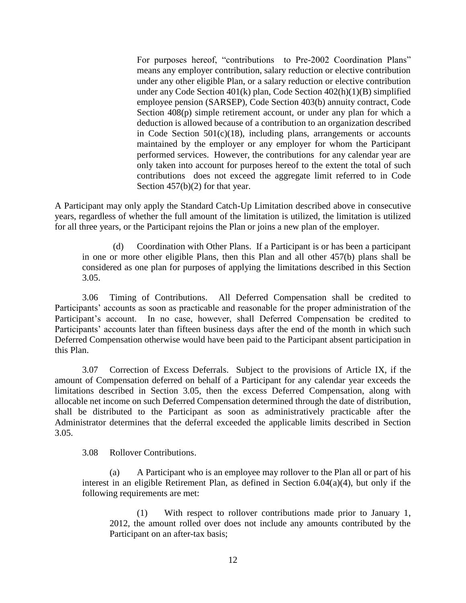For purposes hereof, "contributions to Pre-2002 Coordination Plans" means any employer contribution, salary reduction or elective contribution under any other eligible Plan, or a salary reduction or elective contribution under any Code Section 401(k) plan, Code Section 402(h)(1)(B) simplified employee pension (SARSEP), Code Section 403(b) annuity contract, Code Section 408(p) simple retirement account, or under any plan for which a deduction is allowed because of a contribution to an organization described in Code Section 501(c)(18), including plans, arrangements or accounts maintained by the employer or any employer for whom the Participant performed services. However, the contributions for any calendar year are only taken into account for purposes hereof to the extent the total of such contributions does not exceed the aggregate limit referred to in Code Section 457(b)(2) for that year.

A Participant may only apply the Standard Catch-Up Limitation described above in consecutive years, regardless of whether the full amount of the limitation is utilized, the limitation is utilized for all three years, or the Participant rejoins the Plan or joins a new plan of the employer.

(d) Coordination with Other Plans. If a Participant is or has been a participant in one or more other eligible Plans, then this Plan and all other 457(b) plans shall be considered as one plan for purposes of applying the limitations described in this Section 3.05.

<span id="page-16-0"></span>3.06 Timing of Contributions. All Deferred Compensation shall be credited to Participants' accounts as soon as practicable and reasonable for the proper administration of the Participant's account. In no case, however, shall Deferred Compensation be credited to Participants' accounts later than fifteen business days after the end of the month in which such Deferred Compensation otherwise would have been paid to the Participant absent participation in this Plan.

<span id="page-16-1"></span>3.07 Correction of Excess Deferrals. Subject to the provisions of Article IX, if the amount of Compensation deferred on behalf of a Participant for any calendar year exceeds the limitations described in Section 3.05, then the excess Deferred Compensation, along with allocable net income on such Deferred Compensation determined through the date of distribution, shall be distributed to the Participant as soon as administratively practicable after the Administrator determines that the deferral exceeded the applicable limits described in Section 3.05.

<span id="page-16-2"></span>3.08 Rollover Contributions.

(a) A Participant who is an employee may rollover to the Plan all or part of his interest in an eligible Retirement Plan, as defined in Section 6.04(a)(4), but only if the following requirements are met:

(1) With respect to rollover contributions made prior to January 1, 2012, the amount rolled over does not include any amounts contributed by the Participant on an after-tax basis;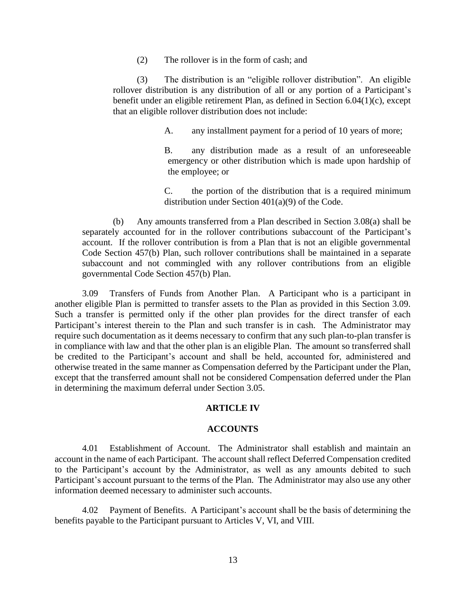(2) The rollover is in the form of cash; and

(3) The distribution is an "eligible rollover distribution". An eligible rollover distribution is any distribution of all or any portion of a Participant's benefit under an eligible retirement Plan, as defined in Section 6.04(1)(c), except that an eligible rollover distribution does not include:

A. any installment payment for a period of 10 years of more;

B. any distribution made as a result of an unforeseeable emergency or other distribution which is made upon hardship of the employee; or

C. the portion of the distribution that is a required minimum distribution under Section 401(a)(9) of the Code.

(b) Any amounts transferred from a Plan described in Section 3.08(a) shall be separately accounted for in the rollover contributions subaccount of the Participant's account. If the rollover contribution is from a Plan that is not an eligible governmental Code Section 457(b) Plan, such rollover contributions shall be maintained in a separate subaccount and not commingled with any rollover contributions from an eligible governmental Code Section 457(b) Plan.

<span id="page-17-0"></span>3.09 Transfers of Funds from Another Plan. A Participant who is a participant in another eligible Plan is permitted to transfer assets to the Plan as provided in this Section 3.09. Such a transfer is permitted only if the other plan provides for the direct transfer of each Participant's interest therein to the Plan and such transfer is in cash. The Administrator may require such documentation as it deems necessary to confirm that any such plan-to-plan transfer is in compliance with law and that the other plan is an eligible Plan. The amount so transferred shall be credited to the Participant's account and shall be held, accounted for, administered and otherwise treated in the same manner as Compensation deferred by the Participant under the Plan, except that the transferred amount shall not be considered Compensation deferred under the Plan in determining the maximum deferral under Section 3.05.

## **ARTICLE IV**

#### **ACCOUNTS**

<span id="page-17-2"></span><span id="page-17-1"></span>4.01 Establishment of Account. The Administrator shall establish and maintain an account in the name of each Participant. The account shall reflect Deferred Compensation credited to the Participant's account by the Administrator, as well as any amounts debited to such Participant's account pursuant to the terms of the Plan. The Administrator may also use any other information deemed necessary to administer such accounts.

<span id="page-17-3"></span>4.02 Payment of Benefits. A Participant's account shall be the basis of determining the benefits payable to the Participant pursuant to Articles V, VI, and VIII.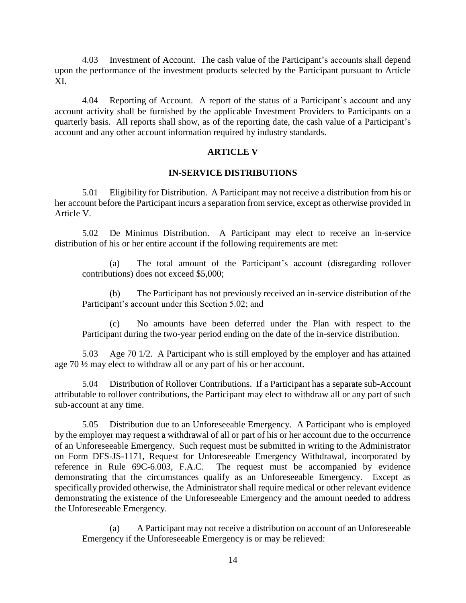<span id="page-18-0"></span>4.03 Investment of Account. The cash value of the Participant's accounts shall depend upon the performance of the investment products selected by the Participant pursuant to Article XI.

<span id="page-18-1"></span>4.04 Reporting of Account. A report of the status of a Participant's account and any account activity shall be furnished by the applicable Investment Providers to Participants on a quarterly basis. All reports shall show, as of the reporting date, the cash value of a Participant's account and any other account information required by industry standards.

## **ARTICLE V**

## **IN-SERVICE DISTRIBUTIONS**

<span id="page-18-3"></span><span id="page-18-2"></span>5.01 Eligibility for Distribution. A Participant may not receive a distribution from his or her account before the Participant incurs a separation from service, except as otherwise provided in Article V.

<span id="page-18-4"></span>5.02 De Minimus Distribution. A Participant may elect to receive an in-service distribution of his or her entire account if the following requirements are met:

(a) The total amount of the Participant's account (disregarding rollover contributions) does not exceed \$5,000;

(b) The Participant has not previously received an in-service distribution of the Participant's account under this Section 5.02; and

(c) No amounts have been deferred under the Plan with respect to the Participant during the two-year period ending on the date of the in-service distribution.

<span id="page-18-5"></span>5.03 Age 70 1/2. A Participant who is still employed by the employer and has attained age 70 ½ may elect to withdraw all or any part of his or her account.

<span id="page-18-6"></span>5.04 Distribution of Rollover Contributions. If a Participant has a separate sub-Account attributable to rollover contributions, the Participant may elect to withdraw all or any part of such sub-account at any time.

<span id="page-18-7"></span>5.05 Distribution due to an Unforeseeable Emergency. A Participant who is employed by the employer may request a withdrawal of all or part of his or her account due to the occurrence of an Unforeseeable Emergency. Such request must be submitted in writing to the Administrator on Form DFS-JS-1171, Request for Unforeseeable Emergency Withdrawal, incorporated by reference in Rule 69C-6.003, F.A.C. The request must be accompanied by evidence demonstrating that the circumstances qualify as an Unforeseeable Emergency. Except as specifically provided otherwise, the Administrator shall require medical or other relevant evidence demonstrating the existence of the Unforeseeable Emergency and the amount needed to address the Unforeseeable Emergency.

(a) A Participant may not receive a distribution on account of an Unforeseeable Emergency if the Unforeseeable Emergency is or may be relieved: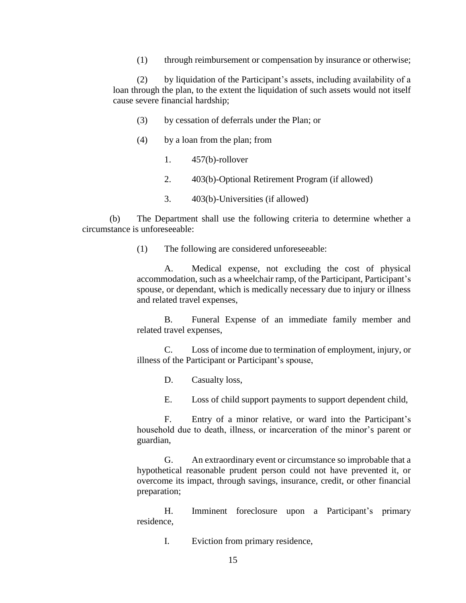(1) through reimbursement or compensation by insurance or otherwise;

(2) by liquidation of the Participant's assets, including availability of a loan through the plan, to the extent the liquidation of such assets would not itself cause severe financial hardship;

- (3) by cessation of deferrals under the Plan; or
- (4) by a loan from the plan; from
	- 1. 457(b)-rollover
	- 2. 403(b)-Optional Retirement Program (if allowed)
	- 3. 403(b)-Universities (if allowed)

(b) The Department shall use the following criteria to determine whether a circumstance is unforeseeable:

(1) The following are considered unforeseeable:

A. Medical expense, not excluding the cost of physical accommodation, such as a wheelchair ramp, of the Participant, Participant's spouse, or dependant, which is medically necessary due to injury or illness and related travel expenses,

B. Funeral Expense of an immediate family member and related travel expenses,

C. Loss of income due to termination of employment, injury, or illness of the Participant or Participant's spouse,

D. Casualty loss,

E. Loss of child support payments to support dependent child,

F. Entry of a minor relative, or ward into the Participant's household due to death, illness, or incarceration of the minor's parent or guardian,

G. An extraordinary event or circumstance so improbable that a hypothetical reasonable prudent person could not have prevented it, or overcome its impact, through savings, insurance, credit, or other financial preparation;

H. Imminent foreclosure upon a Participant's primary residence,

I. Eviction from primary residence,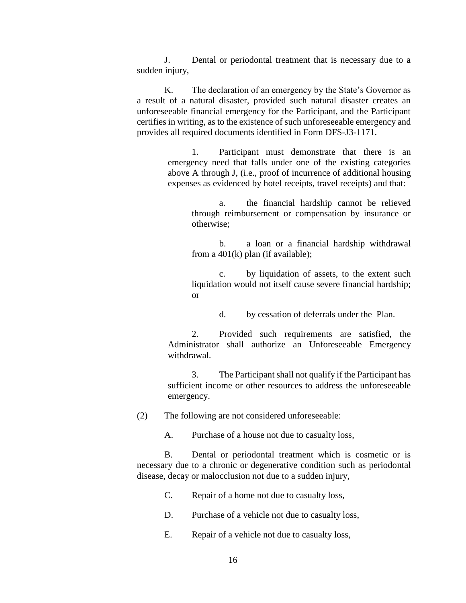J. Dental or periodontal treatment that is necessary due to a sudden injury,

K. The declaration of an emergency by the State's Governor as a result of a natural disaster, provided such natural disaster creates an unforeseeable financial emergency for the Participant, and the Participant certifies in writing, as to the existence of such unforeseeable emergency and provides all required documents identified in Form DFS-J3-1171.

> 1. Participant must demonstrate that there is an emergency need that falls under one of the existing categories above A through J, (i.e., proof of incurrence of additional housing expenses as evidenced by hotel receipts, travel receipts) and that:

a. the financial hardship cannot be relieved through reimbursement or compensation by insurance or otherwise;

b. a loan or a financial hardship withdrawal from a  $401(k)$  plan (if available);

c. by liquidation of assets, to the extent such liquidation would not itself cause severe financial hardship; or

d. by cessation of deferrals under the Plan.

2. Provided such requirements are satisfied, the Administrator shall authorize an Unforeseeable Emergency withdrawal.

3. The Participant shall not qualify if the Participant has sufficient income or other resources to address the unforeseeable emergency.

(2) The following are not considered unforeseeable:

A. Purchase of a house not due to casualty loss,

B. Dental or periodontal treatment which is cosmetic or is necessary due to a chronic or degenerative condition such as periodontal disease, decay or malocclusion not due to a sudden injury,

C. Repair of a home not due to casualty loss,

D. Purchase of a vehicle not due to casualty loss,

E. Repair of a vehicle not due to casualty loss,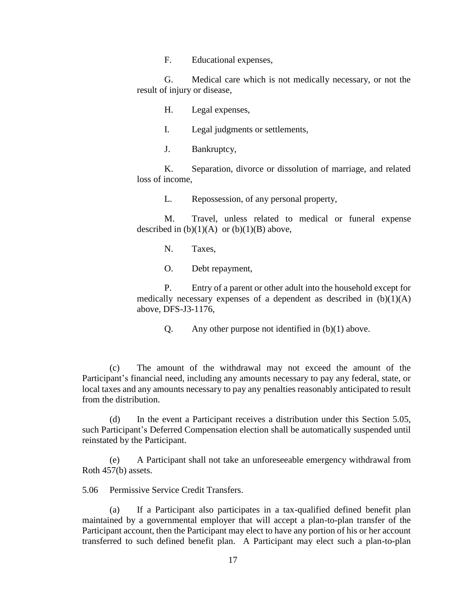F. Educational expenses,

G. Medical care which is not medically necessary, or not the result of injury or disease,

H. Legal expenses,

I. Legal judgments or settlements,

J. Bankruptcy,

K. Separation, divorce or dissolution of marriage, and related loss of income,

L. Repossession, of any personal property,

M. Travel, unless related to medical or funeral expense described in  $(b)(1)(A)$  or  $(b)(1)(B)$  above,

N. Taxes,

O. Debt repayment,

P. Entry of a parent or other adult into the household except for medically necessary expenses of a dependent as described in  $(b)(1)(A)$ above, DFS-J3-1176,

Q. Any other purpose not identified in (b)(1) above.

(c) The amount of the withdrawal may not exceed the amount of the Participant's financial need, including any amounts necessary to pay any federal, state, or local taxes and any amounts necessary to pay any penalties reasonably anticipated to result from the distribution.

(d) In the event a Participant receives a distribution under this Section 5.05, such Participant's Deferred Compensation election shall be automatically suspended until reinstated by the Participant.

(e) A Participant shall not take an unforeseeable emergency withdrawal from Roth 457(b) assets.

<span id="page-21-0"></span>5.06 Permissive Service Credit Transfers.

(a) If a Participant also participates in a tax-qualified defined benefit plan maintained by a governmental employer that will accept a plan-to-plan transfer of the Participant account, then the Participant may elect to have any portion of his or her account transferred to such defined benefit plan. A Participant may elect such a plan-to-plan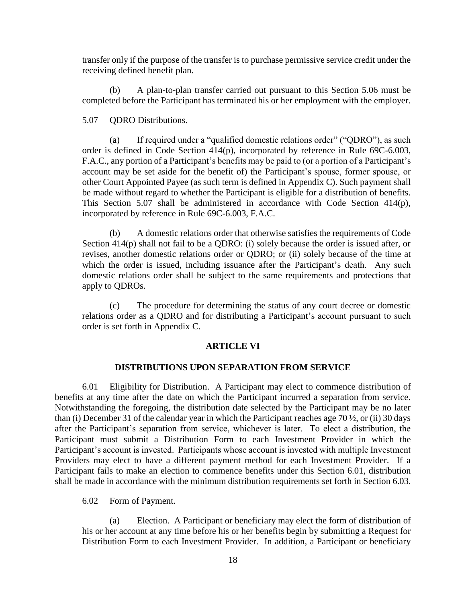transfer only if the purpose of the transfer is to purchase permissive service credit under the receiving defined benefit plan.

(b) A plan-to-plan transfer carried out pursuant to this Section 5.06 must be completed before the Participant has terminated his or her employment with the employer.

### <span id="page-22-0"></span>5.07 QDRO Distributions.

(a) If required under a "qualified domestic relations order" ("QDRO"), as such order is defined in Code Section 414(p), incorporated by reference in Rule 69C-6.003, F.A.C., any portion of a Participant's benefits may be paid to (or a portion of a Participant's account may be set aside for the benefit of) the Participant's spouse, former spouse, or other Court Appointed Payee (as such term is defined in Appendix C). Such payment shall be made without regard to whether the Participant is eligible for a distribution of benefits. This Section 5.07 shall be administered in accordance with Code Section 414(p), incorporated by reference in Rule 69C-6.003, F.A.C.

(b) A domestic relations order that otherwise satisfies the requirements of Code Section 414(p) shall not fail to be a QDRO: (i) solely because the order is issued after, or revises, another domestic relations order or QDRO; or (ii) solely because of the time at which the order is issued, including issuance after the Participant's death. Any such domestic relations order shall be subject to the same requirements and protections that apply to QDROs.

(c) The procedure for determining the status of any court decree or domestic relations order as a QDRO and for distributing a Participant's account pursuant to such order is set forth in Appendix C.

#### **ARTICLE VI**

#### **DISTRIBUTIONS UPON SEPARATION FROM SERVICE**

<span id="page-22-2"></span><span id="page-22-1"></span>6.01 Eligibility for Distribution. A Participant may elect to commence distribution of benefits at any time after the date on which the Participant incurred a separation from service. Notwithstanding the foregoing, the distribution date selected by the Participant may be no later than (i) December 31 of the calendar year in which the Participant reaches age 70 ½, or (ii) 30 days after the Participant's separation from service, whichever is later. To elect a distribution, the Participant must submit a Distribution Form to each Investment Provider in which the Participant's account is invested. Participants whose account is invested with multiple Investment Providers may elect to have a different payment method for each Investment Provider. If a Participant fails to make an election to commence benefits under this Section 6.01, distribution shall be made in accordance with the minimum distribution requirements set forth in Section 6.03.

<span id="page-22-3"></span>6.02 Form of Payment.

(a) Election. A Participant or beneficiary may elect the form of distribution of his or her account at any time before his or her benefits begin by submitting a Request for Distribution Form to each Investment Provider. In addition, a Participant or beneficiary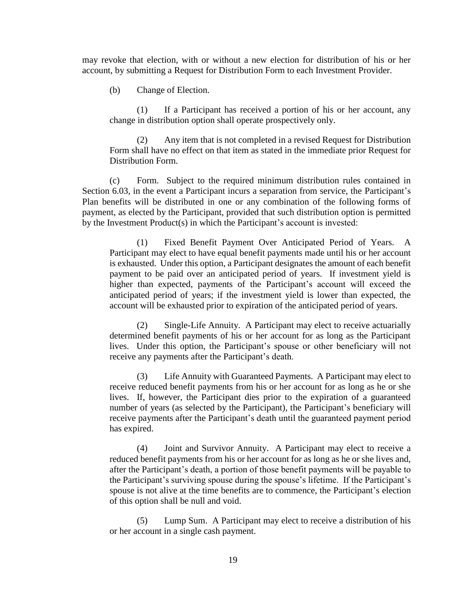may revoke that election, with or without a new election for distribution of his or her account, by submitting a Request for Distribution Form to each Investment Provider.

(b) Change of Election.

(1) If a Participant has received a portion of his or her account, any change in distribution option shall operate prospectively only.

(2) Any item that is not completed in a revised Request for Distribution Form shall have no effect on that item as stated in the immediate prior Request for Distribution Form.

(c) Form. Subject to the required minimum distribution rules contained in Section 6.03, in the event a Participant incurs a separation from service, the Participant's Plan benefits will be distributed in one or any combination of the following forms of payment, as elected by the Participant, provided that such distribution option is permitted by the Investment Product(s) in which the Participant's account is invested:

(1) Fixed Benefit Payment Over Anticipated Period of Years. A Participant may elect to have equal benefit payments made until his or her account is exhausted. Under this option, a Participant designates the amount of each benefit payment to be paid over an anticipated period of years. If investment yield is higher than expected, payments of the Participant's account will exceed the anticipated period of years; if the investment yield is lower than expected, the account will be exhausted prior to expiration of the anticipated period of years.

(2) Single-Life Annuity. A Participant may elect to receive actuarially determined benefit payments of his or her account for as long as the Participant lives. Under this option, the Participant's spouse or other beneficiary will not receive any payments after the Participant's death.

(3) Life Annuity with Guaranteed Payments. A Participant may elect to receive reduced benefit payments from his or her account for as long as he or she lives. If, however, the Participant dies prior to the expiration of a guaranteed number of years (as selected by the Participant), the Participant's beneficiary will receive payments after the Participant's death until the guaranteed payment period has expired.

(4) Joint and Survivor Annuity. A Participant may elect to receive a reduced benefit payments from his or her account for as long as he or she lives and, after the Participant's death, a portion of those benefit payments will be payable to the Participant's surviving spouse during the spouse's lifetime. If the Participant's spouse is not alive at the time benefits are to commence, the Participant's election of this option shall be null and void.

(5) Lump Sum. A Participant may elect to receive a distribution of his or her account in a single cash payment.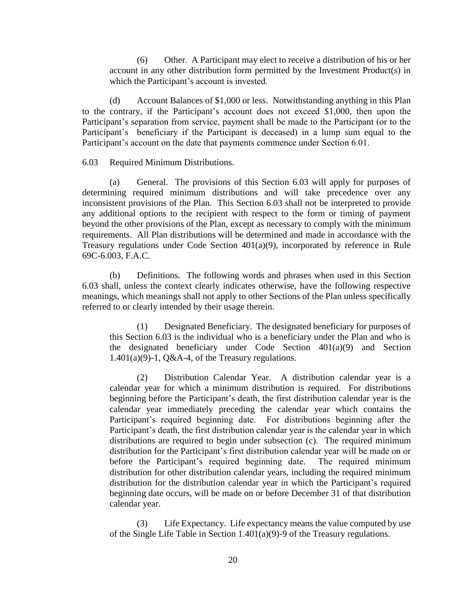(6) Other. A Participant may elect to receive a distribution of his or her account in any other distribution form permitted by the Investment Product(s) in which the Participant's account is invested.

(d) Account Balances of \$1,000 or less. Notwithstanding anything in this Plan to the contrary, if the Participant's account does not exceed \$1,000, then upon the Participant's separation from service, payment shall be made to the Participant (or to the Participant's beneficiary if the Participant is deceased) in a lump sum equal to the Participant's account on the date that payments commence under Section 6.01.

#### <span id="page-24-0"></span>6.03 Required Minimum Distributions.

(a) General. The provisions of this Section 6.03 will apply for purposes of determining required minimum distributions and will take precedence over any inconsistent provisions of the Plan. This Section 6.03 shall not be interpreted to provide any additional options to the recipient with respect to the form or timing of payment beyond the other provisions of the Plan, except as necessary to comply with the minimum requirements. All Plan distributions will be determined and made in accordance with the Treasury regulations under Code Section 401(a)(9), incorporated by reference in Rule 69C-6.003, F.A.C.

(b) Definitions. The following words and phrases when used in this Section 6.03 shall, unless the context clearly indicates otherwise, have the following respective meanings, which meanings shall not apply to other Sections of the Plan unless specifically referred to or clearly intended by their usage therein.

(1) Designated Beneficiary. The designated beneficiary for purposes of this Section 6.03 is the individual who is a beneficiary under the Plan and who is the designated beneficiary under Code Section 401(a)(9) and Section 1.401(a)(9)-1, Q&A-4, of the Treasury regulations.

(2) Distribution Calendar Year. A distribution calendar year is a calendar year for which a minimum distribution is required. For distributions beginning before the Participant's death, the first distribution calendar year is the calendar year immediately preceding the calendar year which contains the Participant's required beginning date. For distributions beginning after the Participant's death, the first distribution calendar year is the calendar year in which distributions are required to begin under subsection (c). The required minimum distribution for the Participant's first distribution calendar year will be made on or before the Participant's required beginning date. The required minimum distribution for other distribution calendar years, including the required minimum distribution for the distribution calendar year in which the Participant's required beginning date occurs, will be made on or before December 31 of that distribution calendar year.

(3) Life Expectancy. Life expectancy means the value computed by use of the Single Life Table in Section 1.401(a)(9)-9 of the Treasury regulations.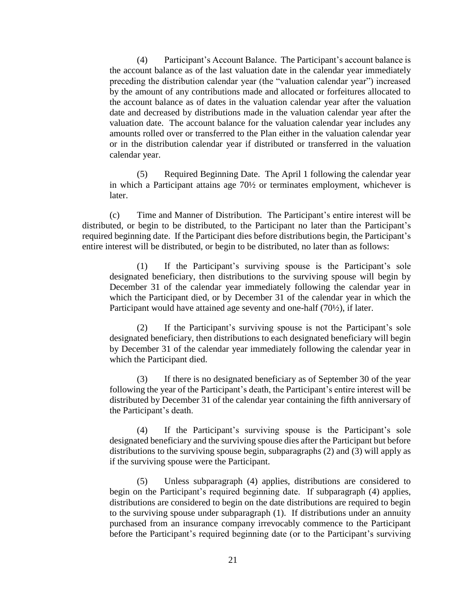(4) Participant's Account Balance. The Participant's account balance is the account balance as of the last valuation date in the calendar year immediately preceding the distribution calendar year (the "valuation calendar year") increased by the amount of any contributions made and allocated or forfeitures allocated to the account balance as of dates in the valuation calendar year after the valuation date and decreased by distributions made in the valuation calendar year after the valuation date. The account balance for the valuation calendar year includes any amounts rolled over or transferred to the Plan either in the valuation calendar year or in the distribution calendar year if distributed or transferred in the valuation calendar year.

(5) Required Beginning Date. The April 1 following the calendar year in which a Participant attains age 70½ or terminates employment, whichever is later.

(c) Time and Manner of Distribution. The Participant's entire interest will be distributed, or begin to be distributed, to the Participant no later than the Participant's required beginning date. If the Participant dies before distributions begin, the Participant's entire interest will be distributed, or begin to be distributed, no later than as follows:

(1) If the Participant's surviving spouse is the Participant's sole designated beneficiary, then distributions to the surviving spouse will begin by December 31 of the calendar year immediately following the calendar year in which the Participant died, or by December 31 of the calendar year in which the Participant would have attained age seventy and one-half (70½), if later.

(2) If the Participant's surviving spouse is not the Participant's sole designated beneficiary, then distributions to each designated beneficiary will begin by December 31 of the calendar year immediately following the calendar year in which the Participant died.

(3) If there is no designated beneficiary as of September 30 of the year following the year of the Participant's death, the Participant's entire interest will be distributed by December 31 of the calendar year containing the fifth anniversary of the Participant's death.

(4) If the Participant's surviving spouse is the Participant's sole designated beneficiary and the surviving spouse dies after the Participant but before distributions to the surviving spouse begin, subparagraphs (2) and (3) will apply as if the surviving spouse were the Participant.

(5) Unless subparagraph (4) applies, distributions are considered to begin on the Participant's required beginning date. If subparagraph (4) applies, distributions are considered to begin on the date distributions are required to begin to the surviving spouse under subparagraph (1). If distributions under an annuity purchased from an insurance company irrevocably commence to the Participant before the Participant's required beginning date (or to the Participant's surviving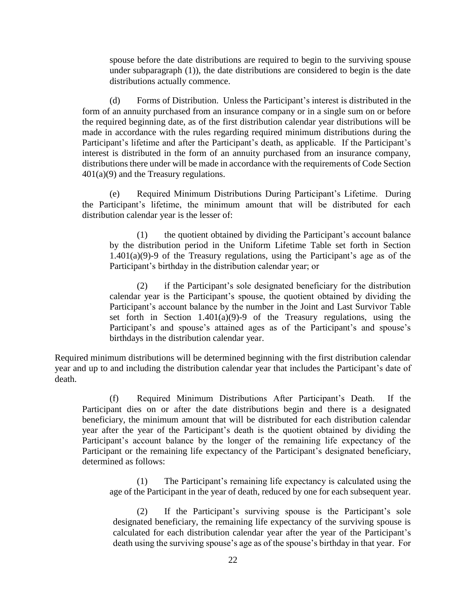spouse before the date distributions are required to begin to the surviving spouse under subparagraph (1)), the date distributions are considered to begin is the date distributions actually commence.

(d) Forms of Distribution. Unless the Participant's interest is distributed in the form of an annuity purchased from an insurance company or in a single sum on or before the required beginning date, as of the first distribution calendar year distributions will be made in accordance with the rules regarding required minimum distributions during the Participant's lifetime and after the Participant's death, as applicable. If the Participant's interest is distributed in the form of an annuity purchased from an insurance company, distributions there under will be made in accordance with the requirements of Code Section 401(a)(9) and the Treasury regulations.

(e) Required Minimum Distributions During Participant's Lifetime. During the Participant's lifetime, the minimum amount that will be distributed for each distribution calendar year is the lesser of:

(1) the quotient obtained by dividing the Participant's account balance by the distribution period in the Uniform Lifetime Table set forth in Section 1.401(a)(9)-9 of the Treasury regulations, using the Participant's age as of the Participant's birthday in the distribution calendar year; or

(2) if the Participant's sole designated beneficiary for the distribution calendar year is the Participant's spouse, the quotient obtained by dividing the Participant's account balance by the number in the Joint and Last Survivor Table set forth in Section 1.401(a)(9)-9 of the Treasury regulations, using the Participant's and spouse's attained ages as of the Participant's and spouse's birthdays in the distribution calendar year.

Required minimum distributions will be determined beginning with the first distribution calendar year and up to and including the distribution calendar year that includes the Participant's date of death.

(f) Required Minimum Distributions After Participant's Death. If the Participant dies on or after the date distributions begin and there is a designated beneficiary, the minimum amount that will be distributed for each distribution calendar year after the year of the Participant's death is the quotient obtained by dividing the Participant's account balance by the longer of the remaining life expectancy of the Participant or the remaining life expectancy of the Participant's designated beneficiary, determined as follows:

(1) The Participant's remaining life expectancy is calculated using the age of the Participant in the year of death, reduced by one for each subsequent year.

(2) If the Participant's surviving spouse is the Participant's sole designated beneficiary, the remaining life expectancy of the surviving spouse is calculated for each distribution calendar year after the year of the Participant's death using the surviving spouse's age as of the spouse's birthday in that year. For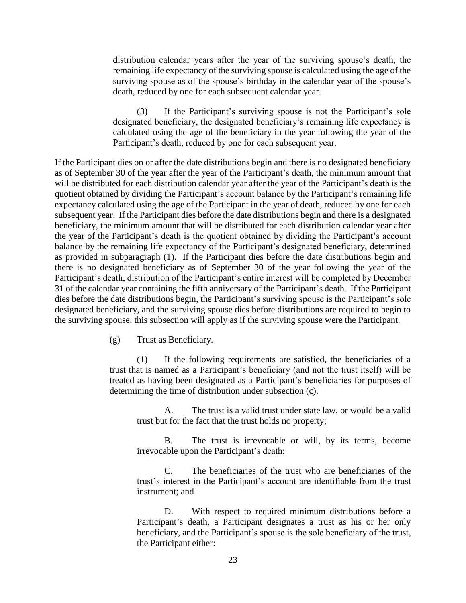distribution calendar years after the year of the surviving spouse's death, the remaining life expectancy of the surviving spouse is calculated using the age of the surviving spouse as of the spouse's birthday in the calendar year of the spouse's death, reduced by one for each subsequent calendar year.

(3) If the Participant's surviving spouse is not the Participant's sole designated beneficiary, the designated beneficiary's remaining life expectancy is calculated using the age of the beneficiary in the year following the year of the Participant's death, reduced by one for each subsequent year.

If the Participant dies on or after the date distributions begin and there is no designated beneficiary as of September 30 of the year after the year of the Participant's death, the minimum amount that will be distributed for each distribution calendar year after the year of the Participant's death is the quotient obtained by dividing the Participant's account balance by the Participant's remaining life expectancy calculated using the age of the Participant in the year of death, reduced by one for each subsequent year. If the Participant dies before the date distributions begin and there is a designated beneficiary, the minimum amount that will be distributed for each distribution calendar year after the year of the Participant's death is the quotient obtained by dividing the Participant's account balance by the remaining life expectancy of the Participant's designated beneficiary, determined as provided in subparagraph (1). If the Participant dies before the date distributions begin and there is no designated beneficiary as of September 30 of the year following the year of the Participant's death, distribution of the Participant's entire interest will be completed by December 31 of the calendar year containing the fifth anniversary of the Participant's death. If the Participant dies before the date distributions begin, the Participant's surviving spouse is the Participant's sole designated beneficiary, and the surviving spouse dies before distributions are required to begin to the surviving spouse, this subsection will apply as if the surviving spouse were the Participant.

(g) Trust as Beneficiary.

(1) If the following requirements are satisfied, the beneficiaries of a trust that is named as a Participant's beneficiary (and not the trust itself) will be treated as having been designated as a Participant's beneficiaries for purposes of determining the time of distribution under subsection (c).

A. The trust is a valid trust under state law, or would be a valid trust but for the fact that the trust holds no property;

B. The trust is irrevocable or will, by its terms, become irrevocable upon the Participant's death;

C. The beneficiaries of the trust who are beneficiaries of the trust's interest in the Participant's account are identifiable from the trust instrument; and

D. With respect to required minimum distributions before a Participant's death, a Participant designates a trust as his or her only beneficiary, and the Participant's spouse is the sole beneficiary of the trust, the Participant either: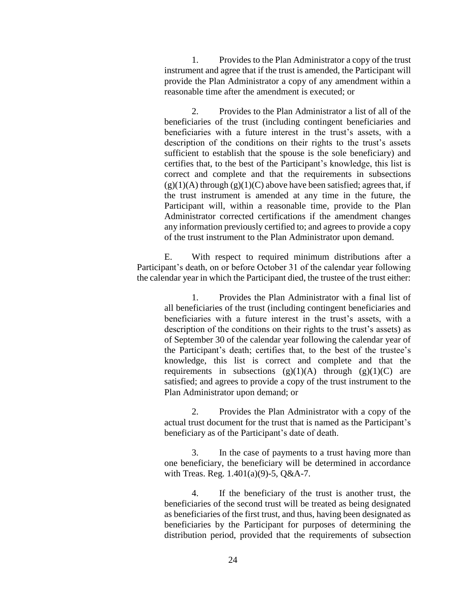1. Provides to the Plan Administrator a copy of the trust instrument and agree that if the trust is amended, the Participant will provide the Plan Administrator a copy of any amendment within a reasonable time after the amendment is executed; or

2. Provides to the Plan Administrator a list of all of the beneficiaries of the trust (including contingent beneficiaries and beneficiaries with a future interest in the trust's assets, with a description of the conditions on their rights to the trust's assets sufficient to establish that the spouse is the sole beneficiary) and certifies that, to the best of the Participant's knowledge, this list is correct and complete and that the requirements in subsections  $(g)(1)(A)$  through  $(g)(1)(C)$  above have been satisfied; agrees that, if the trust instrument is amended at any time in the future, the Participant will, within a reasonable time, provide to the Plan Administrator corrected certifications if the amendment changes any information previously certified to; and agrees to provide a copy of the trust instrument to the Plan Administrator upon demand.

E. With respect to required minimum distributions after a Participant's death, on or before October 31 of the calendar year following the calendar year in which the Participant died, the trustee of the trust either:

1. Provides the Plan Administrator with a final list of all beneficiaries of the trust (including contingent beneficiaries and beneficiaries with a future interest in the trust's assets, with a description of the conditions on their rights to the trust's assets) as of September 30 of the calendar year following the calendar year of the Participant's death; certifies that, to the best of the trustee's knowledge, this list is correct and complete and that the requirements in subsections  $(g)(1)(A)$  through  $(g)(1)(C)$  are satisfied; and agrees to provide a copy of the trust instrument to the Plan Administrator upon demand; or

2. Provides the Plan Administrator with a copy of the actual trust document for the trust that is named as the Participant's beneficiary as of the Participant's date of death.

3. In the case of payments to a trust having more than one beneficiary, the beneficiary will be determined in accordance with Treas. Reg. 1.401(a)(9)-5, Q&A-7.

4. If the beneficiary of the trust is another trust, the beneficiaries of the second trust will be treated as being designated as beneficiaries of the first trust, and thus, having been designated as beneficiaries by the Participant for purposes of determining the distribution period, provided that the requirements of subsection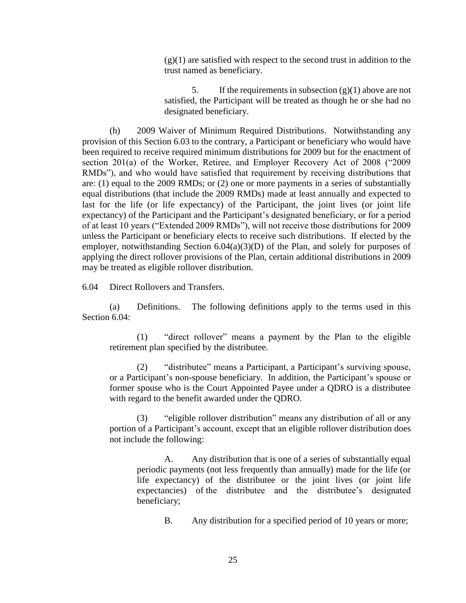$(g)(1)$  are satisfied with respect to the second trust in addition to the trust named as beneficiary.

5. If the requirements in subsection  $(g)(1)$  above are not satisfied, the Participant will be treated as though he or she had no designated beneficiary.

(h) 2009 Waiver of Minimum Required Distributions. Notwithstanding any provision of this Section 6.03 to the contrary, a Participant or beneficiary who would have been required to receive required minimum distributions for 2009 but for the enactment of section 201(a) of the Worker, Retiree, and Employer Recovery Act of 2008 ("2009 RMDs"), and who would have satisfied that requirement by receiving distributions that are: (1) equal to the 2009 RMDs; or (2) one or more payments in a series of substantially equal distributions (that include the 2009 RMDs) made at least annually and expected to last for the life (or life expectancy) of the Participant, the joint lives (or joint life expectancy) of the Participant and the Participant's designated beneficiary, or for a period of at least 10 years ("Extended 2009 RMDs"), will not receive those distributions for 2009 unless the Participant or beneficiary elects to receive such distributions. If elected by the employer, notwithstanding Section  $6.04(a)(3)(D)$  of the Plan, and solely for purposes of applying the direct rollover provisions of the Plan, certain additional distributions in 2009 may be treated as eligible rollover distribution.

<span id="page-29-0"></span>6.04 Direct Rollovers and Transfers.

(a) Definitions. The following definitions apply to the terms used in this Section 6.04:

(1) "direct rollover" means a payment by the Plan to the eligible retirement plan specified by the distributee.

(2) "distributee" means a Participant, a Participant's surviving spouse, or a Participant's non-spouse beneficiary. In addition, the Participant's spouse or former spouse who is the Court Appointed Payee under a QDRO is a distributee with regard to the benefit awarded under the QDRO.

(3) "eligible rollover distribution" means any distribution of all or any portion of a Participant's account, except that an eligible rollover distribution does not include the following:

A. Any distribution that is one of a series of substantially equal periodic payments (not less frequently than annually) made for the life (or life expectancy) of the distributee or the joint lives (or joint life expectancies) of the distributee and the distributee's designated beneficiary;

B. Any distribution for a specified period of 10 years or more;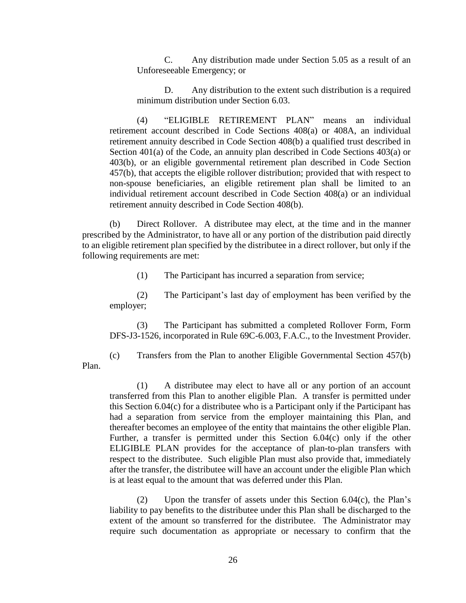C. Any distribution made under Section 5.05 as a result of an Unforeseeable Emergency; or

D. Any distribution to the extent such distribution is a required minimum distribution under Section 6.03.

(4) "ELIGIBLE RETIREMENT PLAN" means an individual retirement account described in Code Sections 408(a) or 408A, an individual retirement annuity described in Code Section 408(b) a qualified trust described in Section 401(a) of the Code, an annuity plan described in Code Sections 403(a) or 403(b), or an eligible governmental retirement plan described in Code Section 457(b), that accepts the eligible rollover distribution; provided that with respect to non-spouse beneficiaries, an eligible retirement plan shall be limited to an individual retirement account described in Code Section 408(a) or an individual retirement annuity described in Code Section 408(b).

(b) Direct Rollover. A distributee may elect, at the time and in the manner prescribed by the Administrator, to have all or any portion of the distribution paid directly to an eligible retirement plan specified by the distributee in a direct rollover, but only if the following requirements are met:

(1) The Participant has incurred a separation from service;

(2) The Participant's last day of employment has been verified by the employer;

(3) The Participant has submitted a completed Rollover Form, Form DFS-J3-1526, incorporated in Rule 69C-6.003, F.A.C., to the Investment Provider.

(c) Transfers from the Plan to another Eligible Governmental Section 457(b) Plan.

(1) A distributee may elect to have all or any portion of an account transferred from this Plan to another eligible Plan. A transfer is permitted under this Section 6.04(c) for a distributee who is a Participant only if the Participant has had a separation from service from the employer maintaining this Plan, and thereafter becomes an employee of the entity that maintains the other eligible Plan. Further, a transfer is permitted under this Section 6.04(c) only if the other ELIGIBLE PLAN provides for the acceptance of plan-to-plan transfers with respect to the distributee. Such eligible Plan must also provide that, immediately after the transfer, the distributee will have an account under the eligible Plan which is at least equal to the amount that was deferred under this Plan.

(2) Upon the transfer of assets under this Section 6.04(c), the Plan's liability to pay benefits to the distributee under this Plan shall be discharged to the extent of the amount so transferred for the distributee. The Administrator may require such documentation as appropriate or necessary to confirm that the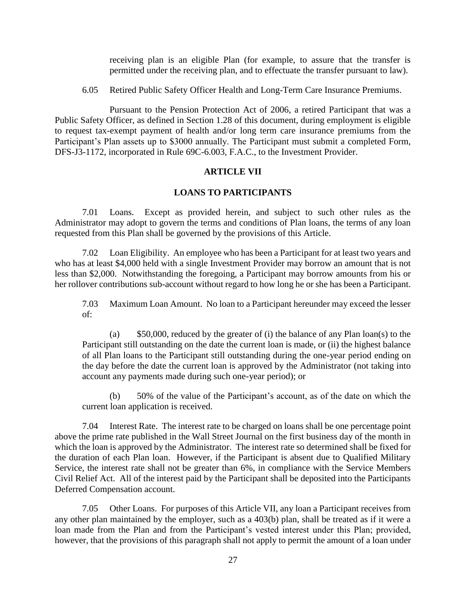receiving plan is an eligible Plan (for example, to assure that the transfer is permitted under the receiving plan, and to effectuate the transfer pursuant to law).

6.05 Retired Public Safety Officer Health and Long-Term Care Insurance Premiums.

Pursuant to the Pension Protection Act of 2006, a retired Participant that was a Public Safety Officer, as defined in Section 1.28 of this document, during employment is eligible to request tax-exempt payment of health and/or long term care insurance premiums from the Participant's Plan assets up to \$3000 annually. The Participant must submit a completed Form, DFS-J3-1172, incorporated in Rule 69C-6.003, F.A.C., to the Investment Provider.

## **ARTICLE VII**

## **LOANS TO PARTICIPANTS**

<span id="page-31-1"></span><span id="page-31-0"></span>7.01 Loans. Except as provided herein, and subject to such other rules as the Administrator may adopt to govern the terms and conditions of Plan loans, the terms of any loan requested from this Plan shall be governed by the provisions of this Article.

<span id="page-31-2"></span>7.02 Loan Eligibility. An employee who has been a Participant for at least two years and who has at least \$4,000 held with a single Investment Provider may borrow an amount that is not less than \$2,000. Notwithstanding the foregoing, a Participant may borrow amounts from his or her rollover contributions sub-account without regard to how long he or she has been a Participant.

<span id="page-31-3"></span>7.03 Maximum Loan Amount. No loan to a Participant hereunder may exceed the lesser of:

(a) \$50,000, reduced by the greater of (i) the balance of any Plan loan(s) to the Participant still outstanding on the date the current loan is made, or (ii) the highest balance of all Plan loans to the Participant still outstanding during the one-year period ending on the day before the date the current loan is approved by the Administrator (not taking into account any payments made during such one-year period); or

(b) 50% of the value of the Participant's account, as of the date on which the current loan application is received.

<span id="page-31-4"></span>7.04 Interest Rate. The interest rate to be charged on loans shall be one percentage point above the prime rate published in the Wall Street Journal on the first business day of the month in which the loan is approved by the Administrator. The interest rate so determined shall be fixed for the duration of each Plan loan. However, if the Participant is absent due to Qualified Military Service, the interest rate shall not be greater than 6%, in compliance with the Service Members Civil Relief Act. All of the interest paid by the Participant shall be deposited into the Participants Deferred Compensation account.

<span id="page-31-5"></span>7.05 Other Loans. For purposes of this Article VII, any loan a Participant receives from any other plan maintained by the employer, such as a 403(b) plan, shall be treated as if it were a loan made from the Plan and from the Participant's vested interest under this Plan; provided, however, that the provisions of this paragraph shall not apply to permit the amount of a loan under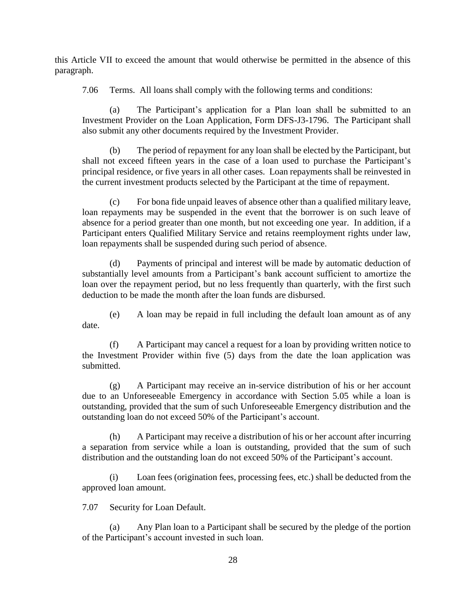this Article VII to exceed the amount that would otherwise be permitted in the absence of this paragraph.

<span id="page-32-0"></span>7.06 Terms. All loans shall comply with the following terms and conditions:

(a) The Participant's application for a Plan loan shall be submitted to an Investment Provider on the Loan Application, Form DFS-J3-1796. The Participant shall also submit any other documents required by the Investment Provider.

(b) The period of repayment for any loan shall be elected by the Participant, but shall not exceed fifteen years in the case of a loan used to purchase the Participant's principal residence, or five years in all other cases. Loan repayments shall be reinvested in the current investment products selected by the Participant at the time of repayment.

(c) For bona fide unpaid leaves of absence other than a qualified military leave, loan repayments may be suspended in the event that the borrower is on such leave of absence for a period greater than one month, but not exceeding one year. In addition, if a Participant enters Qualified Military Service and retains reemployment rights under law, loan repayments shall be suspended during such period of absence.

(d) Payments of principal and interest will be made by automatic deduction of substantially level amounts from a Participant's bank account sufficient to amortize the loan over the repayment period, but no less frequently than quarterly, with the first such deduction to be made the month after the loan funds are disbursed.

(e) A loan may be repaid in full including the default loan amount as of any date.

(f) A Participant may cancel a request for a loan by providing written notice to the Investment Provider within five (5) days from the date the loan application was submitted.

(g) A Participant may receive an in-service distribution of his or her account due to an Unforeseeable Emergency in accordance with Section 5.05 while a loan is outstanding, provided that the sum of such Unforeseeable Emergency distribution and the outstanding loan do not exceed 50% of the Participant's account.

(h) A Participant may receive a distribution of his or her account after incurring a separation from service while a loan is outstanding, provided that the sum of such distribution and the outstanding loan do not exceed 50% of the Participant's account.

(i) Loan fees (origination fees, processing fees, etc.) shall be deducted from the approved loan amount.

<span id="page-32-1"></span>7.07 Security for Loan Default.

(a) Any Plan loan to a Participant shall be secured by the pledge of the portion of the Participant's account invested in such loan.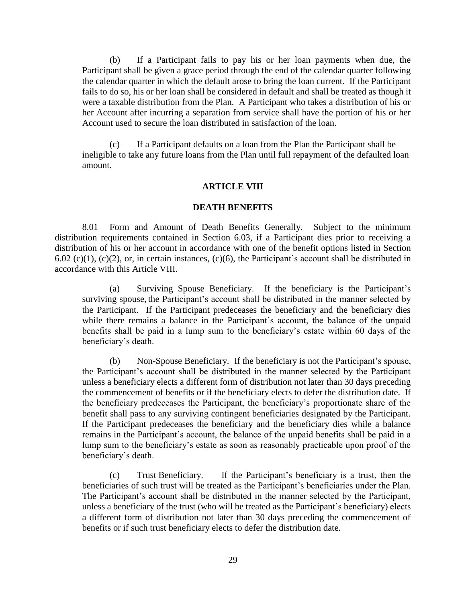(b) If a Participant fails to pay his or her loan payments when due, the Participant shall be given a grace period through the end of the calendar quarter following the calendar quarter in which the default arose to bring the loan current. If the Participant fails to do so, his or her loan shall be considered in default and shall be treated as though it were a taxable distribution from the Plan. A Participant who takes a distribution of his or her Account after incurring a separation from service shall have the portion of his or her Account used to secure the loan distributed in satisfaction of the loan.

(c) If a Participant defaults on a loan from the Plan the Participant shall be ineligible to take any future loans from the Plan until full repayment of the defaulted loan amount.

#### **ARTICLE VIII**

#### **DEATH BENEFITS**

<span id="page-33-1"></span><span id="page-33-0"></span>8.01 Form and Amount of Death Benefits Generally. Subject to the minimum distribution requirements contained in Section 6.03, if a Participant dies prior to receiving a distribution of his or her account in accordance with one of the benefit options listed in Section 6.02 (c)(1), (c)(2), or, in certain instances, (c)(6), the Participant's account shall be distributed in accordance with this Article VIII.

(a) Surviving Spouse Beneficiary. If the beneficiary is the Participant's surviving spouse, the Participant's account shall be distributed in the manner selected by the Participant. If the Participant predeceases the beneficiary and the beneficiary dies while there remains a balance in the Participant's account, the balance of the unpaid benefits shall be paid in a lump sum to the beneficiary's estate within 60 days of the beneficiary's death.

(b) Non-Spouse Beneficiary. If the beneficiary is not the Participant's spouse, the Participant's account shall be distributed in the manner selected by the Participant unless a beneficiary elects a different form of distribution not later than 30 days preceding the commencement of benefits or if the beneficiary elects to defer the distribution date. If the beneficiary predeceases the Participant, the beneficiary's proportionate share of the benefit shall pass to any surviving contingent beneficiaries designated by the Participant. If the Participant predeceases the beneficiary and the beneficiary dies while a balance remains in the Participant's account, the balance of the unpaid benefits shall be paid in a lump sum to the beneficiary's estate as soon as reasonably practicable upon proof of the beneficiary's death.

(c) Trust Beneficiary. If the Participant's beneficiary is a trust, then the beneficiaries of such trust will be treated as the Participant's beneficiaries under the Plan. The Participant's account shall be distributed in the manner selected by the Participant, unless a beneficiary of the trust (who will be treated as the Participant's beneficiary) elects a different form of distribution not later than 30 days preceding the commencement of benefits or if such trust beneficiary elects to defer the distribution date.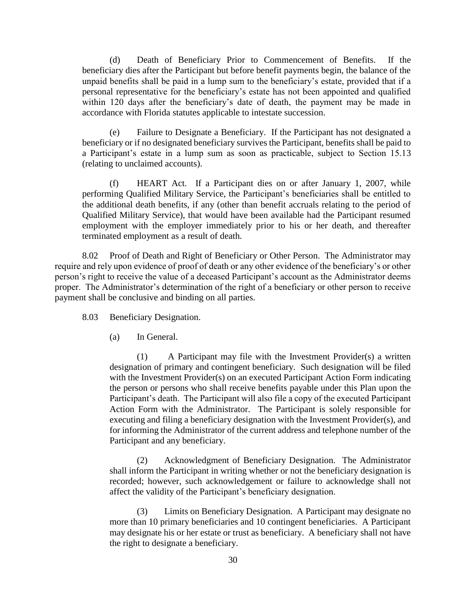(d) Death of Beneficiary Prior to Commencement of Benefits. If the beneficiary dies after the Participant but before benefit payments begin, the balance of the unpaid benefits shall be paid in a lump sum to the beneficiary's estate, provided that if a personal representative for the beneficiary's estate has not been appointed and qualified within 120 days after the beneficiary's date of death, the payment may be made in accordance with Florida statutes applicable to intestate succession.

(e) Failure to Designate a Beneficiary. If the Participant has not designated a beneficiary or if no designated beneficiary survives the Participant, benefits shall be paid to a Participant's estate in a lump sum as soon as practicable, subject to Section 15.13 (relating to unclaimed accounts).

(f) HEART Act. If a Participant dies on or after January 1, 2007, while performing Qualified Military Service, the Participant's beneficiaries shall be entitled to the additional death benefits, if any (other than benefit accruals relating to the period of Qualified Military Service), that would have been available had the Participant resumed employment with the employer immediately prior to his or her death, and thereafter terminated employment as a result of death.

<span id="page-34-0"></span>8.02 Proof of Death and Right of Beneficiary or Other Person. The Administrator may require and rely upon evidence of proof of death or any other evidence of the beneficiary's or other person's right to receive the value of a deceased Participant's account as the Administrator deems proper. The Administrator's determination of the right of a beneficiary or other person to receive payment shall be conclusive and binding on all parties.

<span id="page-34-1"></span>8.03 Beneficiary Designation.

(a) In General.

(1) A Participant may file with the Investment Provider(s) a written designation of primary and contingent beneficiary. Such designation will be filed with the Investment Provider(s) on an executed Participant Action Form indicating the person or persons who shall receive benefits payable under this Plan upon the Participant's death. The Participant will also file a copy of the executed Participant Action Form with the Administrator. The Participant is solely responsible for executing and filing a beneficiary designation with the Investment Provider(s), and for informing the Administrator of the current address and telephone number of the Participant and any beneficiary.

(2) Acknowledgment of Beneficiary Designation. The Administrator shall inform the Participant in writing whether or not the beneficiary designation is recorded; however, such acknowledgement or failure to acknowledge shall not affect the validity of the Participant's beneficiary designation.

(3) Limits on Beneficiary Designation. A Participant may designate no more than 10 primary beneficiaries and 10 contingent beneficiaries. A Participant may designate his or her estate or trust as beneficiary. A beneficiary shall not have the right to designate a beneficiary.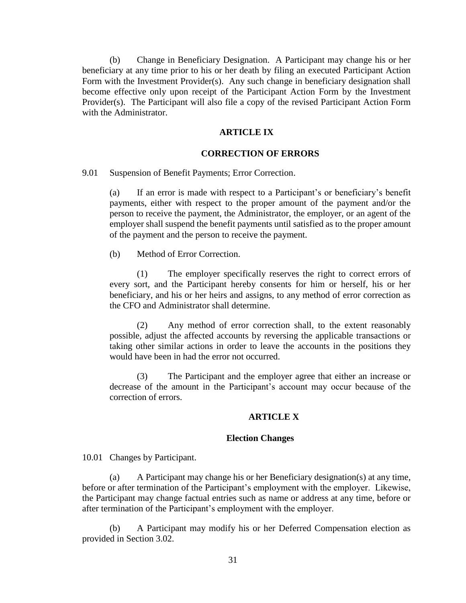(b) Change in Beneficiary Designation. A Participant may change his or her beneficiary at any time prior to his or her death by filing an executed Participant Action Form with the Investment Provider(s). Any such change in beneficiary designation shall become effective only upon receipt of the Participant Action Form by the Investment Provider(s). The Participant will also file a copy of the revised Participant Action Form with the Administrator.

### **ARTICLE IX**

#### **CORRECTION OF ERRORS**

<span id="page-35-1"></span><span id="page-35-0"></span>9.01 Suspension of Benefit Payments; Error Correction.

(a) If an error is made with respect to a Participant's or beneficiary's benefit payments, either with respect to the proper amount of the payment and/or the person to receive the payment, the Administrator, the employer, or an agent of the employer shall suspend the benefit payments until satisfied as to the proper amount of the payment and the person to receive the payment.

(b) Method of Error Correction.

(1) The employer specifically reserves the right to correct errors of every sort, and the Participant hereby consents for him or herself, his or her beneficiary, and his or her heirs and assigns, to any method of error correction as the CFO and Administrator shall determine.

(2) Any method of error correction shall, to the extent reasonably possible, adjust the affected accounts by reversing the applicable transactions or taking other similar actions in order to leave the accounts in the positions they would have been in had the error not occurred.

(3) The Participant and the employer agree that either an increase or decrease of the amount in the Participant's account may occur because of the correction of errors.

## **ARTICLE X**

## **Election Changes**

<span id="page-35-3"></span><span id="page-35-2"></span>10.01 Changes by Participant.

(a) A Participant may change his or her Beneficiary designation(s) at any time, before or after termination of the Participant's employment with the employer. Likewise, the Participant may change factual entries such as name or address at any time, before or after termination of the Participant's employment with the employer.

(b) A Participant may modify his or her Deferred Compensation election as provided in Section 3.02.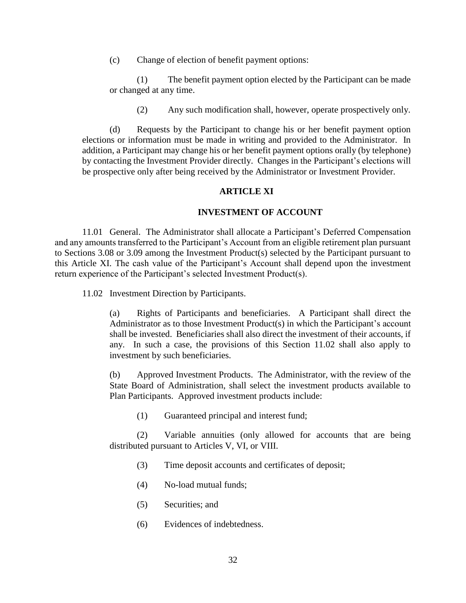(c) Change of election of benefit payment options:

(1) The benefit payment option elected by the Participant can be made or changed at any time.

(2) Any such modification shall, however, operate prospectively only.

(d) Requests by the Participant to change his or her benefit payment option elections or information must be made in writing and provided to the Administrator. In addition, a Participant may change his or her benefit payment options orally (by telephone) by contacting the Investment Provider directly. Changes in the Participant's elections will be prospective only after being received by the Administrator or Investment Provider.

## **ARTICLE XI**

## **INVESTMENT OF ACCOUNT**

<span id="page-36-1"></span><span id="page-36-0"></span>11.01 General. The Administrator shall allocate a Participant's Deferred Compensation and any amounts transferred to the Participant's Account from an eligible retirement plan pursuant to Sections 3.08 or 3.09 among the Investment Product(s) selected by the Participant pursuant to this Article XI. The cash value of the Participant's Account shall depend upon the investment return experience of the Participant's selected Investment Product(s).

<span id="page-36-2"></span>11.02 Investment Direction by Participants.

(a) Rights of Participants and beneficiaries. A Participant shall direct the Administrator as to those Investment Product(s) in which the Participant's account shall be invested. Beneficiaries shall also direct the investment of their accounts, if any. In such a case, the provisions of this Section 11.02 shall also apply to investment by such beneficiaries.

(b) Approved Investment Products. The Administrator, with the review of the State Board of Administration, shall select the investment products available to Plan Participants. Approved investment products include:

(1) Guaranteed principal and interest fund;

(2) Variable annuities (only allowed for accounts that are being distributed pursuant to Articles V, VI, or VIII.

- (3) Time deposit accounts and certificates of deposit;
- (4) No-load mutual funds;
- (5) Securities; and
- (6) Evidences of indebtedness.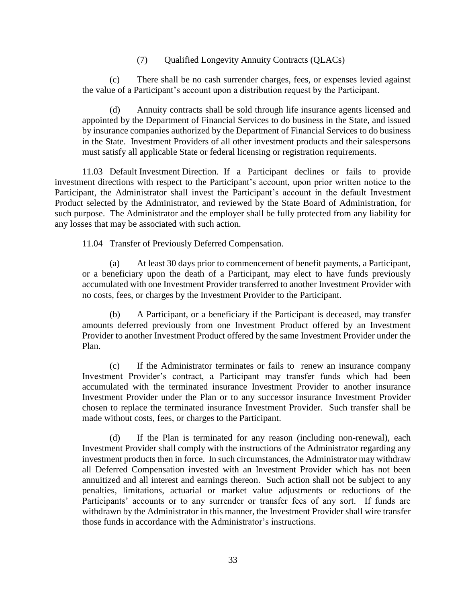(7) Qualified Longevity Annuity Contracts (QLACs)

(c) There shall be no cash surrender charges, fees, or expenses levied against the value of a Participant's account upon a distribution request by the Participant.

Annuity contracts shall be sold through life insurance agents licensed and appointed by the Department of Financial Services to do business in the State, and issued by insurance companies authorized by the Department of Financial Services to do business in the State. Investment Providers of all other investment products and their salespersons must satisfy all applicable State or federal licensing or registration requirements.

<span id="page-37-0"></span>11.03 Default Investment Direction. If a Participant declines or fails to provide investment directions with respect to the Participant's account, upon prior written notice to the Participant, the Administrator shall invest the Participant's account in the default Investment Product selected by the Administrator, and reviewed by the State Board of Administration, for such purpose. The Administrator and the employer shall be fully protected from any liability for any losses that may be associated with such action.

<span id="page-37-1"></span>11.04 Transfer of Previously Deferred Compensation.

(a) At least 30 days prior to commencement of benefit payments, a Participant, or a beneficiary upon the death of a Participant, may elect to have funds previously accumulated with one Investment Provider transferred to another Investment Provider with no costs, fees, or charges by the Investment Provider to the Participant.

(b) A Participant, or a beneficiary if the Participant is deceased, may transfer amounts deferred previously from one Investment Product offered by an Investment Provider to another Investment Product offered by the same Investment Provider under the Plan.

(c) If the Administrator terminates or fails to renew an insurance company Investment Provider's contract, a Participant may transfer funds which had been accumulated with the terminated insurance Investment Provider to another insurance Investment Provider under the Plan or to any successor insurance Investment Provider chosen to replace the terminated insurance Investment Provider. Such transfer shall be made without costs, fees, or charges to the Participant.

(d) If the Plan is terminated for any reason (including non-renewal), each Investment Provider shall comply with the instructions of the Administrator regarding any investment products then in force. In such circumstances, the Administrator may withdraw all Deferred Compensation invested with an Investment Provider which has not been annuitized and all interest and earnings thereon. Such action shall not be subject to any penalties, limitations, actuarial or market value adjustments or reductions of the Participants' accounts or to any surrender or transfer fees of any sort. If funds are withdrawn by the Administrator in this manner, the Investment Provider shall wire transfer those funds in accordance with the Administrator's instructions.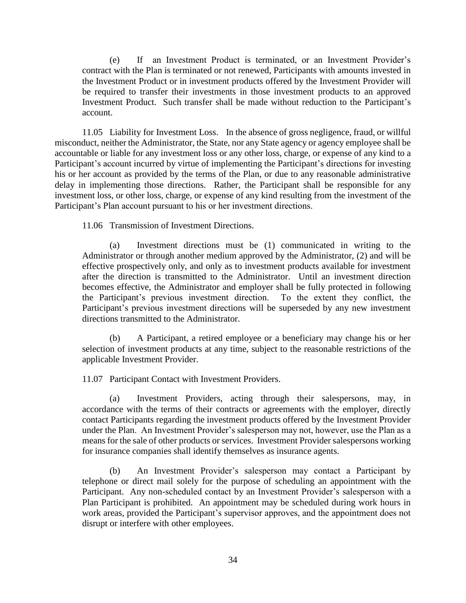(e) If an Investment Product is terminated, or an Investment Provider's contract with the Plan is terminated or not renewed, Participants with amounts invested in the Investment Product or in investment products offered by the Investment Provider will be required to transfer their investments in those investment products to an approved Investment Product. Such transfer shall be made without reduction to the Participant's account.

<span id="page-38-0"></span>11.05 Liability for Investment Loss. In the absence of gross negligence, fraud, or willful misconduct, neither the Administrator, the State, nor any State agency or agency employee shall be accountable or liable for any investment loss or any other loss, charge, or expense of any kind to a Participant's account incurred by virtue of implementing the Participant's directions for investing his or her account as provided by the terms of the Plan, or due to any reasonable administrative delay in implementing those directions. Rather, the Participant shall be responsible for any investment loss, or other loss, charge, or expense of any kind resulting from the investment of the Participant's Plan account pursuant to his or her investment directions.

<span id="page-38-1"></span>11.06 Transmission of Investment Directions.

(a) Investment directions must be (1) communicated in writing to the Administrator or through another medium approved by the Administrator, (2) and will be effective prospectively only, and only as to investment products available for investment after the direction is transmitted to the Administrator. Until an investment direction becomes effective, the Administrator and employer shall be fully protected in following the Participant's previous investment direction. To the extent they conflict, the Participant's previous investment directions will be superseded by any new investment directions transmitted to the Administrator.

(b) A Participant, a retired employee or a beneficiary may change his or her selection of investment products at any time, subject to the reasonable restrictions of the applicable Investment Provider.

<span id="page-38-2"></span>11.07 Participant Contact with Investment Providers.

(a) Investment Providers, acting through their salespersons, may, in accordance with the terms of their contracts or agreements with the employer, directly contact Participants regarding the investment products offered by the Investment Provider under the Plan. An Investment Provider's salesperson may not, however, use the Plan as a means for the sale of other products or services. Investment Provider salespersons working for insurance companies shall identify themselves as insurance agents.

(b) An Investment Provider's salesperson may contact a Participant by telephone or direct mail solely for the purpose of scheduling an appointment with the Participant. Any non-scheduled contact by an Investment Provider's salesperson with a Plan Participant is prohibited. An appointment may be scheduled during work hours in work areas, provided the Participant's supervisor approves, and the appointment does not disrupt or interfere with other employees.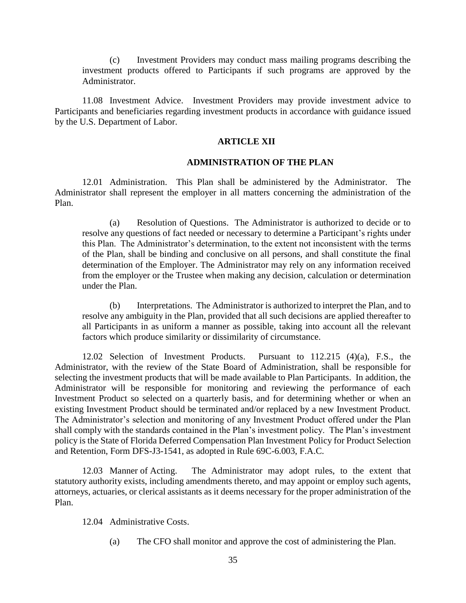(c) Investment Providers may conduct mass mailing programs describing the investment products offered to Participants if such programs are approved by the Administrator.

<span id="page-39-0"></span>11.08 Investment Advice. Investment Providers may provide investment advice to Participants and beneficiaries regarding investment products in accordance with guidance issued by the U.S. Department of Labor.

### **ARTICLE XII**

### **ADMINISTRATION OF THE PLAN**

<span id="page-39-2"></span><span id="page-39-1"></span>12.01 Administration. This Plan shall be administered by the Administrator. The Administrator shall represent the employer in all matters concerning the administration of the Plan.

(a) Resolution of Questions. The Administrator is authorized to decide or to resolve any questions of fact needed or necessary to determine a Participant's rights under this Plan. The Administrator's determination, to the extent not inconsistent with the terms of the Plan, shall be binding and conclusive on all persons, and shall constitute the final determination of the Employer. The Administrator may rely on any information received from the employer or the Trustee when making any decision, calculation or determination under the Plan.

(b) Interpretations. The Administrator is authorized to interpret the Plan, and to resolve any ambiguity in the Plan, provided that all such decisions are applied thereafter to all Participants in as uniform a manner as possible, taking into account all the relevant factors which produce similarity or dissimilarity of circumstance.

<span id="page-39-3"></span>12.02 Selection of Investment Products. Pursuant to 112.215 (4)(a), F.S., the Administrator, with the review of the State Board of Administration, shall be responsible for selecting the investment products that will be made available to Plan Participants. In addition, the Administrator will be responsible for monitoring and reviewing the performance of each Investment Product so selected on a quarterly basis, and for determining whether or when an existing Investment Product should be terminated and/or replaced by a new Investment Product. The Administrator's selection and monitoring of any Investment Product offered under the Plan shall comply with the standards contained in the Plan's investment policy. The Plan's investment policy is the State of Florida Deferred Compensation Plan Investment Policy for Product Selection and Retention, Form DFS-J3-1541, as adopted in Rule 69C-6.003, F.A.C.

<span id="page-39-4"></span>12.03 Manner of Acting. The Administrator may adopt rules, to the extent that statutory authority exists, including amendments thereto, and may appoint or employ such agents, attorneys, actuaries, or clerical assistants as it deems necessary for the proper administration of the Plan.

<span id="page-39-5"></span>12.04 Administrative Costs.

(a) The CFO shall monitor and approve the cost of administering the Plan.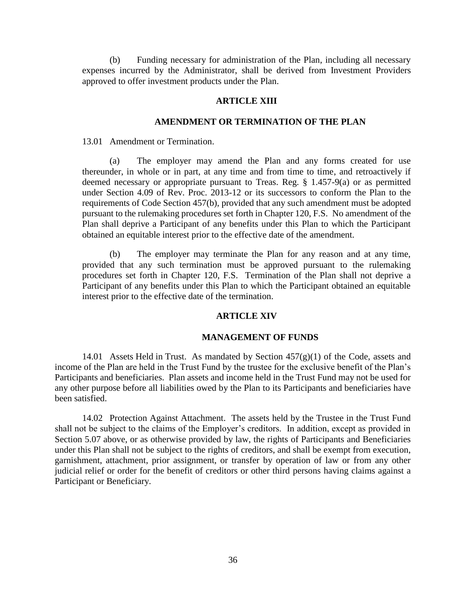(b) Funding necessary for administration of the Plan, including all necessary expenses incurred by the Administrator, shall be derived from Investment Providers approved to offer investment products under the Plan.

## **ARTICLE XIII**

## **AMENDMENT OR TERMINATION OF THE PLAN**

<span id="page-40-1"></span><span id="page-40-0"></span>13.01 Amendment or Termination.

(a) The employer may amend the Plan and any forms created for use thereunder, in whole or in part, at any time and from time to time, and retroactively if deemed necessary or appropriate pursuant to Treas. Reg. § 1.457-9(a) or as permitted under Section 4.09 of Rev. Proc. 2013-12 or its successors to conform the Plan to the requirements of Code Section 457(b), provided that any such amendment must be adopted pursuant to the rulemaking procedures set forth in Chapter 120, F.S. No amendment of the Plan shall deprive a Participant of any benefits under this Plan to which the Participant obtained an equitable interest prior to the effective date of the amendment.

(b) The employer may terminate the Plan for any reason and at any time, provided that any such termination must be approved pursuant to the rulemaking procedures set forth in Chapter 120, F.S. Termination of the Plan shall not deprive a Participant of any benefits under this Plan to which the Participant obtained an equitable interest prior to the effective date of the termination.

## **ARTICLE XIV**

#### **MANAGEMENT OF FUNDS**

<span id="page-40-3"></span><span id="page-40-2"></span>14.01 Assets Held in Trust. As mandated by Section  $457(g)(1)$  of the Code, assets and income of the Plan are held in the Trust Fund by the trustee for the exclusive benefit of the Plan's Participants and beneficiaries. Plan assets and income held in the Trust Fund may not be used for any other purpose before all liabilities owed by the Plan to its Participants and beneficiaries have been satisfied.

<span id="page-40-4"></span>14.02 Protection Against Attachment. The assets held by the Trustee in the Trust Fund shall not be subject to the claims of the Employer's creditors. In addition, except as provided in Section 5.07 above, or as otherwise provided by law, the rights of Participants and Beneficiaries under this Plan shall not be subject to the rights of creditors, and shall be exempt from execution, garnishment, attachment, prior assignment, or transfer by operation of law or from any other judicial relief or order for the benefit of creditors or other third persons having claims against a Participant or Beneficiary.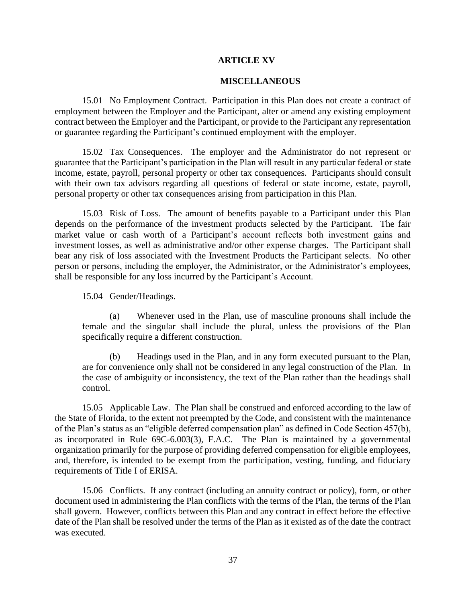## **ARTICLE XV**

### **MISCELLANEOUS**

<span id="page-41-1"></span><span id="page-41-0"></span>15.01 No Employment Contract. Participation in this Plan does not create a contract of employment between the Employer and the Participant, alter or amend any existing employment contract between the Employer and the Participant, or provide to the Participant any representation or guarantee regarding the Participant's continued employment with the employer.

<span id="page-41-2"></span>15.02 Tax Consequences. The employer and the Administrator do not represent or guarantee that the Participant's participation in the Plan will result in any particular federal or state income, estate, payroll, personal property or other tax consequences. Participants should consult with their own tax advisors regarding all questions of federal or state income, estate, payroll, personal property or other tax consequences arising from participation in this Plan.

<span id="page-41-3"></span>15.03 Risk of Loss. The amount of benefits payable to a Participant under this Plan depends on the performance of the investment products selected by the Participant. The fair market value or cash worth of a Participant's account reflects both investment gains and investment losses, as well as administrative and/or other expense charges. The Participant shall bear any risk of loss associated with the Investment Products the Participant selects. No other person or persons, including the employer, the Administrator, or the Administrator's employees, shall be responsible for any loss incurred by the Participant's Account.

<span id="page-41-4"></span>15.04 Gender/Headings.

(a) Whenever used in the Plan, use of masculine pronouns shall include the female and the singular shall include the plural, unless the provisions of the Plan specifically require a different construction.

(b) Headings used in the Plan, and in any form executed pursuant to the Plan, are for convenience only shall not be considered in any legal construction of the Plan. In the case of ambiguity or inconsistency, the text of the Plan rather than the headings shall control.

<span id="page-41-5"></span>15.05 Applicable Law. The Plan shall be construed and enforced according to the law of the State of Florida, to the extent not preempted by the Code, and consistent with the maintenance of the Plan's status as an "eligible deferred compensation plan" as defined in Code Section 457(b), as incorporated in Rule 69C-6.003(3), F.A.C. The Plan is maintained by a governmental organization primarily for the purpose of providing deferred compensation for eligible employees, and, therefore, is intended to be exempt from the participation, vesting, funding, and fiduciary requirements of Title I of ERISA.

<span id="page-41-6"></span>15.06 Conflicts. If any contract (including an annuity contract or policy), form, or other document used in administering the Plan conflicts with the terms of the Plan, the terms of the Plan shall govern. However, conflicts between this Plan and any contract in effect before the effective date of the Plan shall be resolved under the terms of the Plan as it existed as of the date the contract was executed.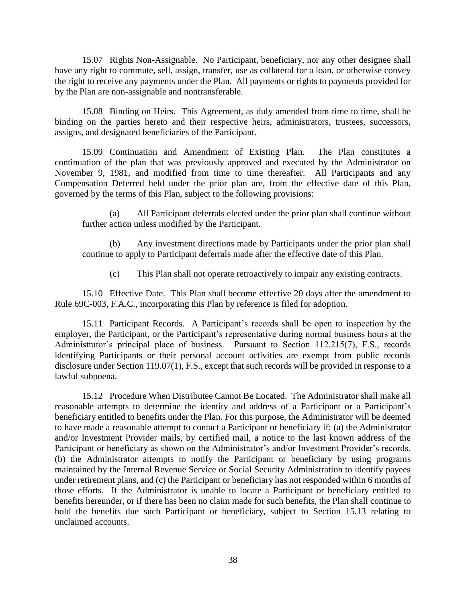<span id="page-42-0"></span>15.07 Rights Non-Assignable. No Participant, beneficiary, nor any other designee shall have any right to commute, sell, assign, transfer, use as collateral for a loan, or otherwise convey the right to receive any payments under the Plan. All payments or rights to payments provided for by the Plan are non-assignable and nontransferable.

<span id="page-42-1"></span>15.08 Binding on Heirs. This Agreement, as duly amended from time to time, shall be binding on the parties hereto and their respective heirs, administrators, trustees, successors, assigns, and designated beneficiaries of the Participant.

<span id="page-42-2"></span>15.09 Continuation and Amendment of Existing Plan. The Plan constitutes a continuation of the plan that was previously approved and executed by the Administrator on November 9, 1981, and modified from time to time thereafter. All Participants and any Compensation Deferred held under the prior plan are, from the effective date of this Plan, governed by the terms of this Plan, subject to the following provisions:

(a) All Participant deferrals elected under the prior plan shall continue without further action unless modified by the Participant.

(b) Any investment directions made by Participants under the prior plan shall continue to apply to Participant deferrals made after the effective date of this Plan.

(c) This Plan shall not operate retroactively to impair any existing contracts.

<span id="page-42-3"></span>15.10 Effective Date. This Plan shall become effective 20 days after the amendment to Rule 69C-003, F.A.C., incorporating this Plan by reference is filed for adoption.

<span id="page-42-4"></span>15.11 Participant Records. A Participant's records shall be open to inspection by the employer, the Participant, or the Participant's representative during normal business hours at the Administrator's principal place of business. Pursuant to Section 112.215(7), F.S., records identifying Participants or their personal account activities are exempt from public records disclosure under Section 119.07(1), F.S., except that such records will be provided in response to a lawful subpoena.

<span id="page-42-5"></span>15.12 Procedure When Distributee Cannot Be Located. The Administrator shall make all reasonable attempts to determine the identity and address of a Participant or a Participant's beneficiary entitled to benefits under the Plan. For this purpose, the Administrator will be deemed to have made a reasonable attempt to contact a Participant or beneficiary if: (a) the Administrator and/or Investment Provider mails, by certified mail, a notice to the last known address of the Participant or beneficiary as shown on the Administrator's and/or Investment Provider's records, (b) the Administrator attempts to notify the Participant or beneficiary by using programs maintained by the Internal Revenue Service or Social Security Administration to identify payees under retirement plans, and (c) the Participant or beneficiary has not responded within 6 months of those efforts. If the Administrator is unable to locate a Participant or beneficiary entitled to benefits hereunder, or if there has been no claim made for such benefits, the Plan shall continue to hold the benefits due such Participant or beneficiary, subject to Section 15.13 relating to unclaimed accounts.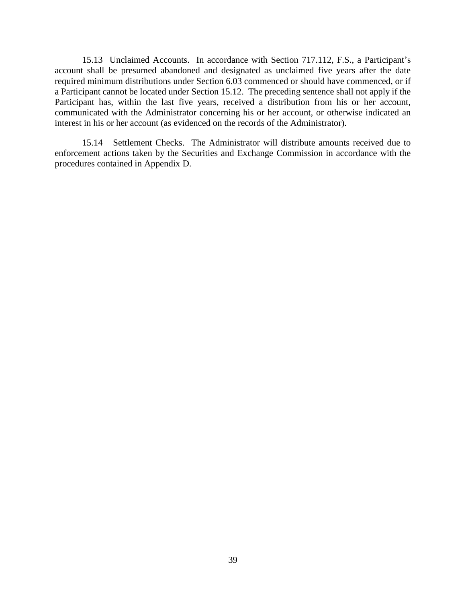<span id="page-43-0"></span>15.13 Unclaimed Accounts. In accordance with Section 717.112, F.S., a Participant's account shall be presumed abandoned and designated as unclaimed five years after the date required minimum distributions under Section 6.03 commenced or should have commenced, or if a Participant cannot be located under Section 15.12. The preceding sentence shall not apply if the Participant has, within the last five years, received a distribution from his or her account, communicated with the Administrator concerning his or her account, or otherwise indicated an interest in his or her account (as evidenced on the records of the Administrator).

<span id="page-43-1"></span>15.14 Settlement Checks. The Administrator will distribute amounts received due to enforcement actions taken by the Securities and Exchange Commission in accordance with the procedures contained in Appendix D.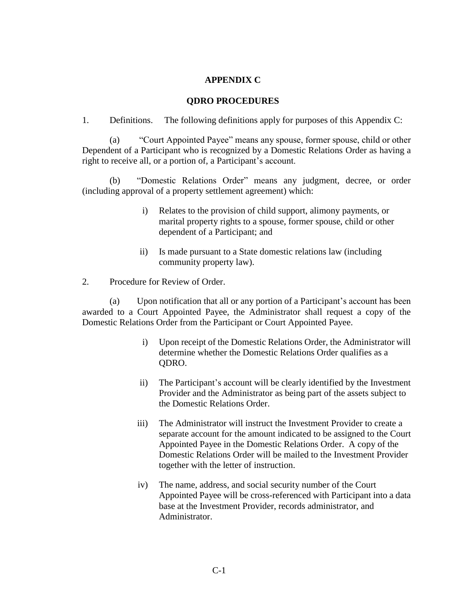## **APPENDIX C**

## **QDRO PROCEDURES**

1. Definitions. The following definitions apply for purposes of this Appendix C:

(a) "Court Appointed Payee" means any spouse, former spouse, child or other Dependent of a Participant who is recognized by a Domestic Relations Order as having a right to receive all, or a portion of, a Participant's account.

(b) "Domestic Relations Order" means any judgment, decree, or order (including approval of a property settlement agreement) which:

- i) Relates to the provision of child support, alimony payments, or marital property rights to a spouse, former spouse, child or other dependent of a Participant; and
- ii) Is made pursuant to a State domestic relations law (including community property law).

2. Procedure for Review of Order.

(a) Upon notification that all or any portion of a Participant's account has been awarded to a Court Appointed Payee, the Administrator shall request a copy of the Domestic Relations Order from the Participant or Court Appointed Payee.

- i) Upon receipt of the Domestic Relations Order, the Administrator will determine whether the Domestic Relations Order qualifies as a QDRO.
- ii) The Participant's account will be clearly identified by the Investment Provider and the Administrator as being part of the assets subject to the Domestic Relations Order.
- iii) The Administrator will instruct the Investment Provider to create a separate account for the amount indicated to be assigned to the Court Appointed Payee in the Domestic Relations Order. A copy of the Domestic Relations Order will be mailed to the Investment Provider together with the letter of instruction.
- iv) The name, address, and social security number of the Court Appointed Payee will be cross-referenced with Participant into a data base at the Investment Provider, records administrator, and Administrator.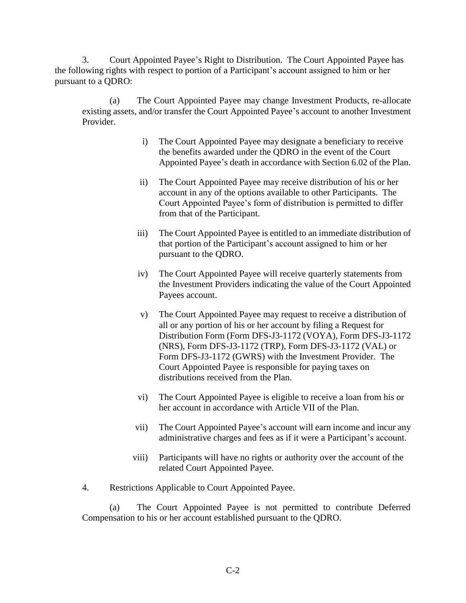3. Court Appointed Payee's Right to Distribution. The Court Appointed Payee has the following rights with respect to portion of a Participant's account assigned to him or her pursuant to a QDRO:

(a) The Court Appointed Payee may change Investment Products, re-allocate existing assets, and/or transfer the Court Appointed Payee's account to another Investment Provider.

- i) The Court Appointed Payee may designate a beneficiary to receive the benefits awarded under the QDRO in the event of the Court Appointed Payee's death in accordance with Section 6.02 of the Plan.
- ii) The Court Appointed Payee may receive distribution of his or her account in any of the options available to other Participants. The Court Appointed Payee's form of distribution is permitted to differ from that of the Participant.
- iii) The Court Appointed Payee is entitled to an immediate distribution of that portion of the Participant's account assigned to him or her pursuant to the QDRO.
- iv) The Court Appointed Payee will receive quarterly statements from the Investment Providers indicating the value of the Court Appointed Payees account.
- v) The Court Appointed Payee may request to receive a distribution of all or any portion of his or her account by filing a Request for Distribution Form (Form DFS-J3-1172 (VOYA), Form DFS-J3-1172 (NRS), Form DFS-J3-1172 (TRP), Form DFS-J3-1172 (VAL) or Form DFS-J3-1172 (GWRS) with the Investment Provider. The Court Appointed Payee is responsible for paying taxes on distributions received from the Plan.
- vi) The Court Appointed Payee is eligible to receive a loan from his or her account in accordance with Article VII of the Plan.
- vii) The Court Appointed Payee's account will earn income and incur any administrative charges and fees as if it were a Participant's account.
- viii) Participants will have no rights or authority over the account of the related Court Appointed Payee.
- 4. Restrictions Applicable to Court Appointed Payee.

(a) The Court Appointed Payee is not permitted to contribute Deferred Compensation to his or her account established pursuant to the QDRO.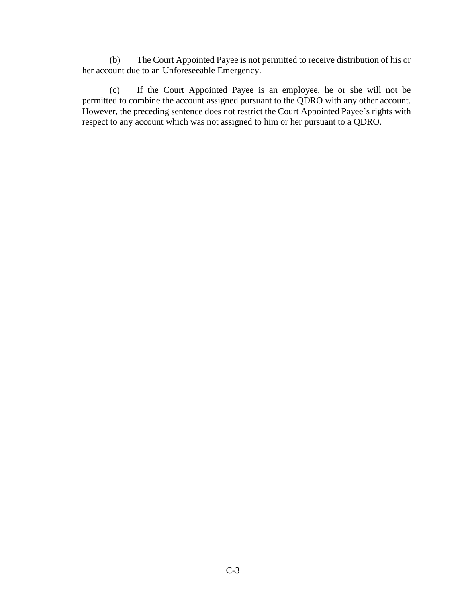(b) The Court Appointed Payee is not permitted to receive distribution of his or her account due to an Unforeseeable Emergency.

(c) If the Court Appointed Payee is an employee, he or she will not be permitted to combine the account assigned pursuant to the QDRO with any other account. However, the preceding sentence does not restrict the Court Appointed Payee's rights with respect to any account which was not assigned to him or her pursuant to a QDRO.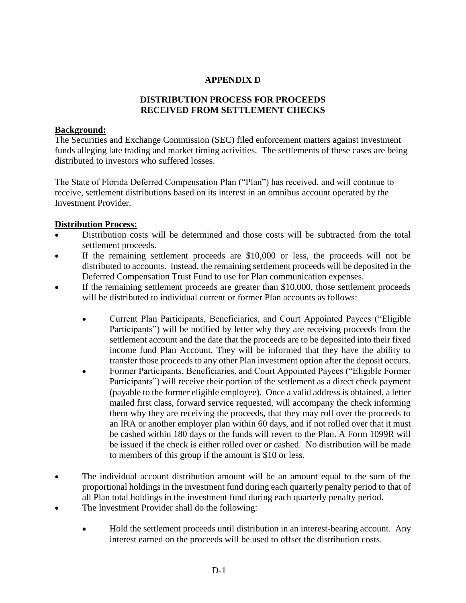## **APPENDIX D**

## **DISTRIBUTION PROCESS FOR PROCEEDS RECEIVED FROM SETTLEMENT CHECKS**

## **Background:**

The Securities and Exchange Commission (SEC) filed enforcement matters against investment funds alleging late trading and market timing activities. The settlements of these cases are being distributed to investors who suffered losses.

The State of Florida Deferred Compensation Plan ("Plan") has received, and will continue to receive, settlement distributions based on its interest in an omnibus account operated by the Investment Provider.

## **Distribution Process:**

- Distribution costs will be determined and those costs will be subtracted from the total settlement proceeds.
- If the remaining settlement proceeds are \$10,000 or less, the proceeds will not be distributed to accounts. Instead, the remaining settlement proceeds will be deposited in the Deferred Compensation Trust Fund to use for Plan communication expenses.
- If the remaining settlement proceeds are greater than \$10,000, those settlement proceeds will be distributed to individual current or former Plan accounts as follows:
	- Current Plan Participants, Beneficiaries, and Court Appointed Payees ("Eligible Participants") will be notified by letter why they are receiving proceeds from the settlement account and the date that the proceeds are to be deposited into their fixed income fund Plan Account. They will be informed that they have the ability to transfer those proceeds to any other Plan investment option after the deposit occurs.
	- Former Participants, Beneficiaries, and Court Appointed Payees ("Eligible Former Participants") will receive their portion of the settlement as a direct check payment (payable to the former eligible employee). Once a valid address is obtained, a letter mailed first class, forward service requested, will accompany the check informing them why they are receiving the proceeds, that they may roll over the proceeds to an IRA or another employer plan within 60 days, and if not rolled over that it must be cashed within 180 days or the funds will revert to the Plan. A Form 1099R will be issued if the check is either rolled over or cashed. No distribution will be made to members of this group if the amount is \$10 or less.
- The individual account distribution amount will be an amount equal to the sum of the proportional holdings in the investment fund during each quarterly penalty period to that of all Plan total holdings in the investment fund during each quarterly penalty period.
- The Investment Provider shall do the following:
	- Hold the settlement proceeds until distribution in an interest-bearing account. Any interest earned on the proceeds will be used to offset the distribution costs.